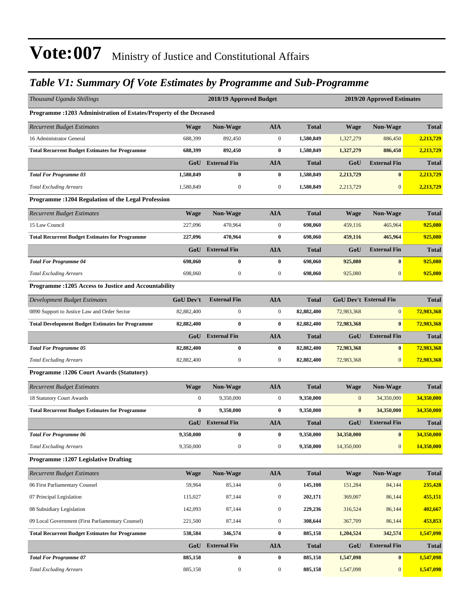### *Table V1: Summary Of Vote Estimates by Programme and Sub-Programme*

| Thousand Uganda Shillings                                           |                  | 2018/19 Approved Budget |                  |              | 2019/20 Approved Estimates |                               |              |  |  |
|---------------------------------------------------------------------|------------------|-------------------------|------------------|--------------|----------------------------|-------------------------------|--------------|--|--|
| Programme : 1203 Administration of Estates/Property of the Deceased |                  |                         |                  |              |                            |                               |              |  |  |
| <b>Recurrent Budget Estimates</b>                                   | <b>Wage</b>      | Non-Wage                | <b>AIA</b>       | <b>Total</b> | <b>Wage</b>                | Non-Wage                      | <b>Total</b> |  |  |
| 16 Administrator General                                            | 688,399          | 892,450                 | $\boldsymbol{0}$ | 1,580,849    | 1,327,279                  | 886,450                       | 2,213,729    |  |  |
| <b>Total Recurrent Budget Estimates for Programme</b>               | 688,399          | 892,450                 | $\bf{0}$         | 1,580,849    | 1,327,279                  | 886,450                       | 2,213,729    |  |  |
|                                                                     | GoU              | <b>External Fin</b>     | <b>AIA</b>       | <b>Total</b> | GoU                        | <b>External Fin</b>           | <b>Total</b> |  |  |
| <b>Total For Programme 03</b>                                       | 1,580,849        | $\bf{0}$                | $\bf{0}$         | 1,580,849    | 2,213,729                  | $\bf{0}$                      | 2,213,729    |  |  |
| <b>Total Excluding Arrears</b>                                      | 1,580,849        | $\boldsymbol{0}$        | $\boldsymbol{0}$ | 1,580,849    | 2,213,729                  | $\mathbf{0}$                  | 2,213,729    |  |  |
| Programme: 1204 Regulation of the Legal Profession                  |                  |                         |                  |              |                            |                               |              |  |  |
| <b>Recurrent Budget Estimates</b>                                   | <b>Wage</b>      | Non-Wage                | <b>AIA</b>       | <b>Total</b> | <b>Wage</b>                | Non-Wage                      | <b>Total</b> |  |  |
| 15 Law Council                                                      | 227,096          | 470,964                 | $\boldsymbol{0}$ | 698,060      | 459,116                    | 465,964                       | 925,080      |  |  |
| <b>Total Recurrent Budget Estimates for Programme</b>               | 227,096          | 470,964                 | $\bf{0}$         | 698,060      | 459,116                    | 465,964                       | 925,080      |  |  |
|                                                                     | GoU              | <b>External Fin</b>     | <b>AIA</b>       | <b>Total</b> | GoU                        | <b>External Fin</b>           | <b>Total</b> |  |  |
| <b>Total For Programme 04</b>                                       | 698,060          | $\bf{0}$                | $\bf{0}$         | 698,060      | 925,080                    | $\bf{0}$                      | 925,080      |  |  |
| <b>Total Excluding Arrears</b>                                      | 698,060          | $\boldsymbol{0}$        | $\boldsymbol{0}$ | 698,060      | 925,080                    | $\mathbf{0}$                  | 925,080      |  |  |
| <b>Programme: 1205 Access to Justice and Accountability</b>         |                  |                         |                  |              |                            |                               |              |  |  |
| Development Budget Estimates                                        | <b>GoU Dev't</b> | <b>External Fin</b>     | <b>AIA</b>       | <b>Total</b> |                            | <b>GoU Dev't External Fin</b> | <b>Total</b> |  |  |
| 0890 Support to Justice Law and Order Sector                        | 82,882,400       | $\boldsymbol{0}$        | $\boldsymbol{0}$ | 82,882,400   | 72,983,368                 | $\mathbf{0}$                  | 72,983,368   |  |  |
| <b>Total Development Budget Estimates for Programme</b>             | 82,882,400       | $\bf{0}$                | $\bf{0}$         | 82,882,400   | 72,983,368                 | $\bf{0}$                      | 72,983,368   |  |  |
|                                                                     | GoU              | <b>External Fin</b>     | <b>AIA</b>       | <b>Total</b> | GoU                        | <b>External Fin</b>           | <b>Total</b> |  |  |
| <b>Total For Programme 05</b>                                       | 82,882,400       | $\bf{0}$                | $\bf{0}$         | 82,882,400   | 72,983,368                 | $\bf{0}$                      | 72,983,368   |  |  |
| <b>Total Excluding Arrears</b>                                      | 82,882,400       | $\boldsymbol{0}$        | $\boldsymbol{0}$ | 82,882,400   | 72,983,368                 | $\mathbf{0}$                  | 72,983,368   |  |  |
| Programme: 1206 Court Awards (Statutory)                            |                  |                         |                  |              |                            |                               |              |  |  |
| <b>Recurrent Budget Estimates</b>                                   | <b>Wage</b>      | Non-Wage                | <b>AIA</b>       | <b>Total</b> | <b>Wage</b>                | Non-Wage                      | <b>Total</b> |  |  |
| 18 Statutory Court Awards                                           | $\boldsymbol{0}$ | 9,350,000               | $\boldsymbol{0}$ | 9,350,000    | $\mathbf{0}$               | 34,350,000                    | 34,350,000   |  |  |
| <b>Total Recurrent Budget Estimates for Programme</b>               | $\bf{0}$         | 9,350,000               | $\bf{0}$         | 9,350,000    | $\bf{0}$                   | 34,350,000                    | 34,350,000   |  |  |
|                                                                     | GoU              | <b>External Fin</b>     | <b>AIA</b>       | <b>Total</b> | GoU                        | <b>External Fin</b>           | <b>Total</b> |  |  |
| <b>Total For Programme 06</b>                                       | 9,350,000        | $\bf{0}$                | $\bf{0}$         | 9,350,000    | 34,350,000                 | $\bf{0}$                      | 34,350,000   |  |  |
| <b>Total Excluding Arrears</b>                                      | 9,350,000        | $\boldsymbol{0}$        | $\boldsymbol{0}$ | 9,350,000    | 14,350,000                 | $\mathbf{0}$                  | 14,350,000   |  |  |
| <b>Programme:1207 Legislative Drafting</b>                          |                  |                         |                  |              |                            |                               |              |  |  |
| <b>Recurrent Budget Estimates</b>                                   | <b>Wage</b>      | Non-Wage                | <b>AIA</b>       | <b>Total</b> | <b>Wage</b>                | <b>Non-Wage</b>               | Total        |  |  |
| 06 First Parliamentary Counsel                                      | 59,964           | 85,144                  | $\boldsymbol{0}$ | 145,108      | 151,284                    | 84,144                        | 235,428      |  |  |
| 07 Principal Legislation                                            | 115,027          | 87,144                  | $\boldsymbol{0}$ | 202,171      | 369,007                    | 86,144                        | 455,151      |  |  |
| 08 Subsidiary Legislation                                           | 142,093          | 87,144                  | $\boldsymbol{0}$ | 229,236      | 316,524                    | 86,144                        | 402,667      |  |  |
| 09 Local Government (First Parliamentary Counsel)                   | 221,500          | 87,144                  | $\boldsymbol{0}$ | 308,644      | 367,709                    | 86,144                        | 453,853      |  |  |
| <b>Total Recurrent Budget Estimates for Programme</b>               | 538,584          | 346,574                 | $\bf{0}$         | 885,158      | 1,204,524                  | 342,574                       | 1,547,098    |  |  |
|                                                                     |                  | GoU External Fin        | <b>AIA</b>       | <b>Total</b> | GoU                        | <b>External Fin</b>           | <b>Total</b> |  |  |
| <b>Total For Programme 07</b>                                       | 885,158          | $\boldsymbol{0}$        | $\bf{0}$         | 885,158      | 1,547,098                  | $\bf{0}$                      | 1,547,098    |  |  |
| <b>Total Excluding Arrears</b>                                      | 885,158          | $\boldsymbol{0}$        | $\boldsymbol{0}$ | 885,158      | 1,547,098                  | $\mathbf{0}$                  | 1,547,098    |  |  |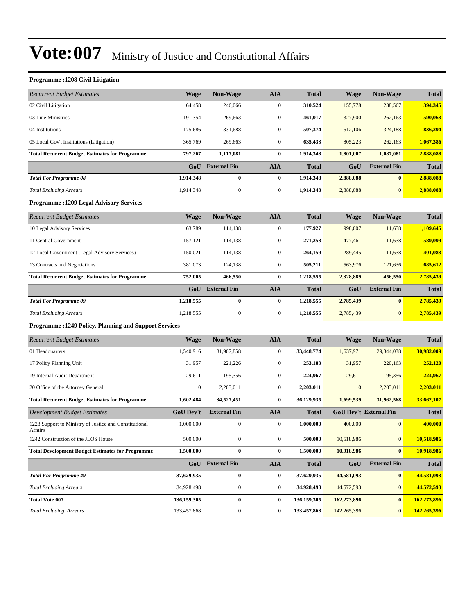| <b>Programme: 1208 Civil Litigation</b>                           |                  |                     |                  |              |              |                               |              |
|-------------------------------------------------------------------|------------------|---------------------|------------------|--------------|--------------|-------------------------------|--------------|
| <b>Recurrent Budget Estimates</b>                                 | Wage             | Non-Wage            | <b>AIA</b>       | <b>Total</b> | <b>Wage</b>  | Non-Wage                      | <b>Total</b> |
| 02 Civil Litigation                                               | 64,458           | 246,066             | $\boldsymbol{0}$ | 310,524      | 155,778      | 238,567                       | 394,345      |
| 03 Line Ministries                                                | 191,354          | 269,663             | $\boldsymbol{0}$ | 461,017      | 327,900      | 262,163                       | 590,063      |
| 04 Institutions                                                   | 175,686          | 331,688             | $\boldsymbol{0}$ | 507,374      | 512,106      | 324,188                       | 836,294      |
| 05 Local Gov't Institutions (Litigation)                          | 365,769          | 269,663             | $\mathbf{0}$     | 635,433      | 805,223      | 262,163                       | 1,067,386    |
| <b>Total Recurrent Budget Estimates for Programme</b>             | 797,267          | 1,117,081           | $\bf{0}$         | 1,914,348    | 1,801,007    | 1,087,081                     | 2,888,088    |
|                                                                   | GoU              | <b>External Fin</b> | <b>AIA</b>       | <b>Total</b> | GoU          | <b>External Fin</b>           | <b>Total</b> |
| <b>Total For Programme 08</b>                                     | 1,914,348        | $\bf{0}$            | $\bf{0}$         | 1,914,348    | 2,888,088    | $\bf{0}$                      | 2,888,088    |
| <b>Total Excluding Arrears</b>                                    | 1,914,348        | $\boldsymbol{0}$    | $\boldsymbol{0}$ | 1,914,348    | 2,888,088    | $\boldsymbol{0}$              | 2,888,088    |
| <b>Programme:1209 Legal Advisory Services</b>                     |                  |                     |                  |              |              |                               |              |
| <b>Recurrent Budget Estimates</b>                                 | <b>Wage</b>      | Non-Wage            | <b>AIA</b>       | <b>Total</b> | <b>Wage</b>  | <b>Non-Wage</b>               | <b>Total</b> |
| 10 Legal Advisory Services                                        | 63,789           | 114,138             | $\boldsymbol{0}$ | 177,927      | 998,007      | 111,638                       | 1,109,645    |
| 11 Central Government                                             | 157,121          | 114,138             | $\boldsymbol{0}$ | 271,258      | 477,461      | 111,638                       | 589,099      |
| 12 Local Government (Legal Advisory Services)                     | 150,021          | 114,138             | $\boldsymbol{0}$ | 264,159      | 289,445      | 111,638                       | 401,083      |
| 13 Contracts and Negotiations                                     | 381,073          | 124,138             | $\boldsymbol{0}$ | 505,211      | 563,976      | 121,636                       | 685,612      |
| <b>Total Recurrent Budget Estimates for Programme</b>             | 752,005          | 466,550             | $\bf{0}$         | 1,218,555    | 2,328,889    | 456,550                       | 2,785,439    |
|                                                                   | GoU              | <b>External Fin</b> | AIA              | Total        | GoU          | <b>External Fin</b>           | <b>Total</b> |
| <b>Total For Programme 09</b>                                     | 1,218,555        | $\boldsymbol{0}$    | $\bf{0}$         | 1,218,555    | 2,785,439    | $\bf{0}$                      | 2,785,439    |
| <b>Total Excluding Arrears</b>                                    | 1,218,555        | $\boldsymbol{0}$    | $\boldsymbol{0}$ | 1,218,555    | 2,785,439    | $\mathbf{0}$                  | 2,785,439    |
| Programme : 1249 Policy, Planning and Support Services            |                  |                     |                  |              |              |                               |              |
| <b>Recurrent Budget Estimates</b>                                 | <b>Wage</b>      | Non-Wage            | <b>AIA</b>       | <b>Total</b> | <b>Wage</b>  | <b>Non-Wage</b>               | <b>Total</b> |
| 01 Headquarters                                                   | 1,540,916        | 31,907,858          | $\mathbf{0}$     | 33,448,774   | 1,637,971    | 29,344,038                    | 30,982,009   |
| 17 Policy Planning Unit                                           | 31,957           | 221,226             | $\boldsymbol{0}$ | 253,183      | 31,957       | 220,163                       | 252,120      |
| 19 Internal Audit Department                                      | 29,611           | 195,356             | $\boldsymbol{0}$ | 224,967      | 29,611       | 195,356                       | 224,967      |
| 20 Office of the Attorney General                                 | $\boldsymbol{0}$ | 2,203,011           | $\boldsymbol{0}$ | 2,203,011    | $\mathbf{0}$ | 2,203,011                     | 2,203,011    |
| <b>Total Recurrent Budget Estimates for Programme</b>             | 1,602,484        | 34,527,451          | $\bf{0}$         | 36,129,935   | 1,699,539    | 31,962,568                    | 33,662,107   |
| Development Budget Estimates                                      | <b>GoU Dev't</b> | <b>External Fin</b> | <b>AIA</b>       | <b>Total</b> |              | <b>GoU Dev't External Fin</b> | <b>Total</b> |
| 1228 Support to Ministry of Justice and Constitutional<br>Affairs | 1,000,000        | 0                   | $\mathbf{0}$     | 1,000,000    | 400,000      | $\overline{0}$                | 400,000      |
| 1242 Construction of the JLOS House                               | 500,000          | $\boldsymbol{0}$    | $\boldsymbol{0}$ | 500,000      | 10,518,986   | $\mathbf{0}$                  | 10,518,986   |
| <b>Total Development Budget Estimates for Programme</b>           | 1,500,000        | $\boldsymbol{0}$    | $\pmb{0}$        | 1,500,000    | 10,918,986   | $\bf{0}$                      | 10,918,986   |
|                                                                   |                  | GoU External Fin    | <b>AIA</b>       | Total        | GoU          | <b>External Fin</b>           | <b>Total</b> |
| <b>Total For Programme 49</b>                                     | 37,629,935       | $\pmb{0}$           | $\bf{0}$         | 37,629,935   | 44,581,093   | $\bf{0}$                      | 44,581,093   |
| <b>Total Excluding Arrears</b>                                    | 34,928,498       | $\boldsymbol{0}$    | $\boldsymbol{0}$ | 34,928,498   | 44,572,593   | $\boldsymbol{0}$              | 44,572,593   |
| <b>Total Vote 007</b>                                             | 136,159,305      | $\boldsymbol{0}$    | $\bf{0}$         | 136,159,305  | 162,273,896  | $\bf{0}$                      | 162,273,896  |
| <b>Total Excluding Arrears</b>                                    | 133,457,868      | $\boldsymbol{0}$    | $\boldsymbol{0}$ | 133,457,868  | 142,265,396  | $\mathbf{0}$                  | 142,265,396  |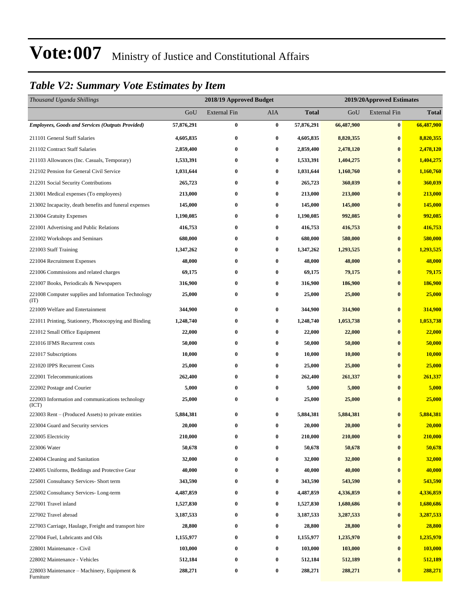### *Table V2: Summary Vote Estimates by Item*

| Thousand Uganda Shillings                                   |            | 2018/19 Approved Budget |            |              | 2019/20Approved Estimates |                     |              |  |
|-------------------------------------------------------------|------------|-------------------------|------------|--------------|---------------------------|---------------------|--------------|--|
|                                                             | GoU        | <b>External Fin</b>     | <b>AIA</b> | <b>Total</b> | GoU                       | <b>External Fin</b> | <b>Total</b> |  |
| <b>Employees, Goods and Services (Outputs Provided)</b>     | 57,876,291 | $\boldsymbol{0}$        | $\bf{0}$   | 57,876,291   | 66,487,900                | $\bf{0}$            | 66,487,900   |  |
| 211101 General Staff Salaries                               | 4,605,835  | $\bf{0}$                | $\bf{0}$   | 4,605,835    | 8,820,355                 | $\bf{0}$            | 8,820,355    |  |
| 211102 Contract Staff Salaries                              | 2,859,400  | 0                       | $\bf{0}$   | 2,859,400    | 2,478,120                 | $\bf{0}$            | 2,478,120    |  |
| 211103 Allowances (Inc. Casuals, Temporary)                 | 1,533,391  | $\bf{0}$                | $\bf{0}$   | 1,533,391    | 1,404,275                 | $\bf{0}$            | 1,404,275    |  |
| 212102 Pension for General Civil Service                    | 1,031,644  | $\bf{0}$                | $\bf{0}$   | 1,031,644    | 1,160,760                 | $\bf{0}$            | 1,160,760    |  |
| 212201 Social Security Contributions                        | 265,723    | $\bf{0}$                | $\bf{0}$   | 265,723      | 360,039                   | $\bf{0}$            | 360,039      |  |
| 213001 Medical expenses (To employees)                      | 213,000    | 0                       | $\bf{0}$   | 213,000      | 213,000                   | $\bf{0}$            | 213,000      |  |
| 213002 Incapacity, death benefits and funeral expenses      | 145,000    | 0                       | $\bf{0}$   | 145,000      | 145,000                   | $\bf{0}$            | 145,000      |  |
| 213004 Gratuity Expenses                                    | 1,190,085  | $\bf{0}$                | $\bf{0}$   | 1,190,085    | 992,085                   | $\bf{0}$            | 992,085      |  |
| 221001 Advertising and Public Relations                     | 416,753    | $\bf{0}$                | $\bf{0}$   | 416,753      | 416,753                   | $\bf{0}$            | 416,753      |  |
| 221002 Workshops and Seminars                               | 680,000    | $\bf{0}$                | $\bf{0}$   | 680,000      | 580,000                   | $\bf{0}$            | 580,000      |  |
| 221003 Staff Training                                       | 1,347,262  | 0                       | $\bf{0}$   | 1,347,262    | 1,293,525                 | $\bf{0}$            | 1,293,525    |  |
| 221004 Recruitment Expenses                                 | 48,000     | 0                       | $\bf{0}$   | 48,000       | 48,000                    | $\bf{0}$            | 48,000       |  |
| 221006 Commissions and related charges                      | 69,175     | $\bf{0}$                | $\bf{0}$   | 69,175       | 79,175                    | $\bf{0}$            | 79,175       |  |
| 221007 Books, Periodicals & Newspapers                      | 316,900    | $\bf{0}$                | $\bf{0}$   | 316,900      | 186,900                   | $\bf{0}$            | 186,900      |  |
| 221008 Computer supplies and Information Technology<br>(TT) | 25,000     | $\bf{0}$                | $\bf{0}$   | 25,000       | 25,000                    | $\bf{0}$            | 25,000       |  |
| 221009 Welfare and Entertainment                            | 344,900    | $\boldsymbol{0}$        | $\bf{0}$   | 344,900      | 314,900                   | $\bf{0}$            | 314,900      |  |
| 221011 Printing, Stationery, Photocopying and Binding       | 1,248,740  | $\bf{0}$                | $\bf{0}$   | 1,248,740    | 1,053,738                 | $\bf{0}$            | 1,053,738    |  |
| 221012 Small Office Equipment                               | 22,000     | $\bf{0}$                | $\bf{0}$   | 22,000       | 22,000                    | $\bf{0}$            | 22,000       |  |
| 221016 IFMS Recurrent costs                                 | 50,000     | $\bf{0}$                | $\bf{0}$   | 50,000       | 50,000                    | $\bf{0}$            | 50,000       |  |
| 221017 Subscriptions                                        | 10,000     | 0                       | $\bf{0}$   | 10,000       | 10,000                    | $\bf{0}$            | 10,000       |  |
| 221020 IPPS Recurrent Costs                                 | 25,000     | $\boldsymbol{0}$        | $\bf{0}$   | 25,000       | 25,000                    | $\bf{0}$            | 25,000       |  |
| 222001 Telecommunications                                   | 262,400    | $\bf{0}$                | $\bf{0}$   | 262,400      | 261,337                   | $\bf{0}$            | 261,337      |  |
| 222002 Postage and Courier                                  | 5,000      | 0                       | $\bf{0}$   | 5,000        | 5,000                     | $\bf{0}$            | 5,000        |  |
| 222003 Information and communications technology<br>(ICT)   | 25,000     | $\bf{0}$                | $\bf{0}$   | 25,000       | 25,000                    | $\bf{0}$            | 25,000       |  |
| 223003 Rent – (Produced Assets) to private entities         | 5,884,381  | $\bf{0}$                | $\bf{0}$   | 5,884,381    | 5,884,381                 | $\bf{0}$            | 5,884,381    |  |
| 223004 Guard and Security services                          | 20,000     | 0                       | 0          | 20,000       | 20,000                    | $\bf{0}$            | 20,000       |  |
| 223005 Electricity                                          | 210,000    | $\bf{0}$                | $\bf{0}$   | 210,000      | 210,000                   | $\bf{0}$            | 210,000      |  |
| 223006 Water                                                | 50,678     | 0                       | $\bf{0}$   | 50,678       | 50,678                    | $\bf{0}$            | 50,678       |  |
| 224004 Cleaning and Sanitation                              | 32,000     | 0                       | $\bf{0}$   | 32,000       | 32,000                    | $\bf{0}$            | 32,000       |  |
| 224005 Uniforms, Beddings and Protective Gear               | 40,000     | $\boldsymbol{0}$        | $\bf{0}$   | 40,000       | 40,000                    | $\boldsymbol{0}$    | 40,000       |  |
| 225001 Consultancy Services- Short term                     | 343,590    | 0                       | $\bf{0}$   | 343,590      | 543,590                   | $\bf{0}$            | 543,590      |  |
| 225002 Consultancy Services-Long-term                       | 4,487,859  | $\boldsymbol{0}$        | $\bf{0}$   | 4,487,859    | 4,336,859                 | $\bf{0}$            | 4,336,859    |  |
| 227001 Travel inland                                        | 1,527,830  | $\bf{0}$                | $\bf{0}$   | 1,527,830    | 1,680,686                 | $\bf{0}$            | 1,680,686    |  |
| 227002 Travel abroad                                        | 3,187,533  | 0                       | $\bf{0}$   | 3,187,533    | 3,287,533                 | $\bf{0}$            | 3,287,533    |  |
| 227003 Carriage, Haulage, Freight and transport hire        | 28,800     | $\boldsymbol{0}$        | $\bf{0}$   | 28,800       | 28,800                    | $\bf{0}$            | 28,800       |  |
| 227004 Fuel, Lubricants and Oils                            | 1,155,977  | 0                       | $\bf{0}$   | 1,155,977    | 1,235,970                 | $\bf{0}$            | 1,235,970    |  |
| 228001 Maintenance - Civil                                  | 103,000    | $\bf{0}$                | $\bf{0}$   | 103,000      | 103,000                   | $\bf{0}$            | 103,000      |  |
| 228002 Maintenance - Vehicles                               | 512,184    | 0                       | $\bf{0}$   | 512,184      | 512,189                   | $\bf{0}$            | 512,189      |  |
| 228003 Maintenance – Machinery, Equipment $\&$<br>Furniture | 288,271    | 0                       | $\bf{0}$   | 288,271      | 288,271                   | $\bf{0}$            | 288,271      |  |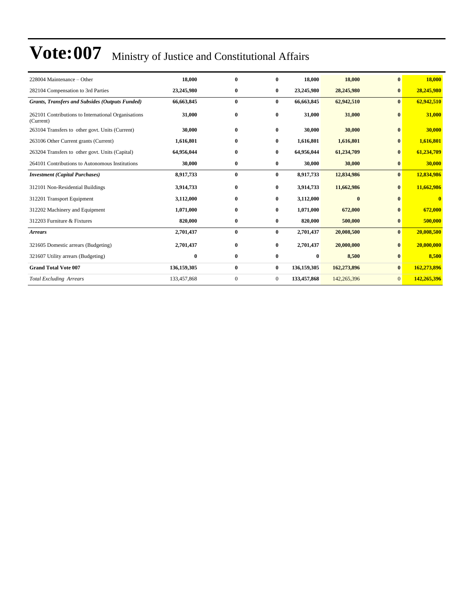| 228004 Maintenance – Other                                       | 18,000      | $\mathbf{0}$ | 0              | 18,000      | 18,000       | $\mathbf{0}$   | 18,000      |
|------------------------------------------------------------------|-------------|--------------|----------------|-------------|--------------|----------------|-------------|
| 282104 Compensation to 3rd Parties                               | 23,245,980  | $\bf{0}$     | $\bf{0}$       | 23,245,980  | 28,245,980   | $\bf{0}$       | 28,245,980  |
| <b>Grants, Transfers and Subsides (Outputs Funded)</b>           | 66,663,845  | $\bf{0}$     | $\bf{0}$       | 66,663,845  | 62,942,510   | $\bf{0}$       | 62,942,510  |
| 262101 Contributions to International Organisations<br>(Current) | 31,000      | $\bf{0}$     | $\mathbf{0}$   | 31,000      | 31,000       | $\mathbf{0}$   | 31,000      |
| 263104 Transfers to other govt. Units (Current)                  | 30,000      | $\bf{0}$     | $\mathbf{0}$   | 30,000      | 30,000       | $\mathbf{0}$   | 30,000      |
| 263106 Other Current grants (Current)                            | 1,616,801   | $\bf{0}$     | 0              | 1,616,801   | 1,616,801    | $\bf{0}$       | 1,616,801   |
| 263204 Transfers to other govt. Units (Capital)                  | 64,956,044  | $\bf{0}$     | $\bf{0}$       | 64,956,044  | 61,234,709   | $\bf{0}$       | 61,234,709  |
| 264101 Contributions to Autonomous Institutions                  | 30,000      | $\bf{0}$     | $\bf{0}$       | 30,000      | 30,000       | $\mathbf{0}$   | 30,000      |
| <b>Investment</b> (Capital Purchases)                            | 8,917,733   | $\bf{0}$     | $\bf{0}$       | 8,917,733   | 12,834,986   | $\bf{0}$       | 12,834,986  |
| 312101 Non-Residential Buildings                                 | 3,914,733   | $\bf{0}$     | $\bf{0}$       | 3,914,733   | 11,662,986   | $\bf{0}$       | 11,662,986  |
| 312201 Transport Equipment                                       | 3,112,000   | $\bf{0}$     | $\bf{0}$       | 3,112,000   | $\mathbf{0}$ | $\mathbf{0}$   | 0           |
| 312202 Machinery and Equipment                                   | 1,071,000   | $\bf{0}$     | 0              | 1,071,000   | 672,000      | $\mathbf{0}$   | 672,000     |
| 312203 Furniture & Fixtures                                      | 820,000     | $\bf{0}$     | $\bf{0}$       | 820,000     | 500,000      | $\mathbf{0}$   | 500,000     |
| <b>Arrears</b>                                                   | 2,701,437   | $\bf{0}$     | $\mathbf{0}$   | 2,701,437   | 20,008,500   | $\mathbf{0}$   | 20,008,500  |
| 321605 Domestic arrears (Budgeting)                              | 2,701,437   | $\bf{0}$     | $\bf{0}$       | 2,701,437   | 20,000,000   | $\bf{0}$       | 20,000,000  |
| 321607 Utility arrears (Budgeting)                               | $\bf{0}$    | $\bf{0}$     | $\bf{0}$       | $\bf{0}$    | 8,500        | $\bf{0}$       | 8,500       |
| <b>Grand Total Vote 007</b>                                      | 136,159,305 | $\bf{0}$     | $\bf{0}$       | 136,159,305 | 162,273,896  | $\bf{0}$       | 162,273,896 |
| <b>Total Excluding Arrears</b>                                   | 133,457,868 | $\mathbf{0}$ | $\overline{0}$ | 133,457,868 | 142,265,396  | $\overline{0}$ | 142,265,396 |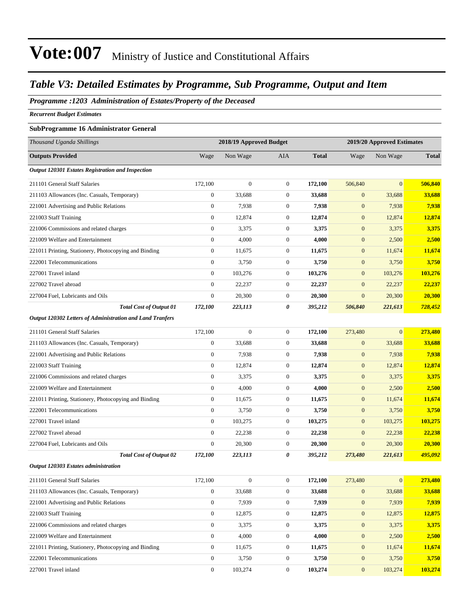### *Table V3: Detailed Estimates by Programme, Sub Programme, Output and Item*

*Programme :1203 Administration of Estates/Property of the Deceased*

*Recurrent Budget Estimates*

#### **SubProgramme 16 Administrator General**

| Thousand Uganda Shillings                                 |                  | 2018/19 Approved Budget |                  |              |                  | 2019/20 Approved Estimates |                |
|-----------------------------------------------------------|------------------|-------------------------|------------------|--------------|------------------|----------------------------|----------------|
| <b>Outputs Provided</b>                                   | Wage             | Non Wage                | <b>AIA</b>       | <b>Total</b> | Wage             | Non Wage                   | <b>Total</b>   |
| Output 120301 Estates Registration and Inspection         |                  |                         |                  |              |                  |                            |                |
| 211101 General Staff Salaries                             | 172,100          | $\boldsymbol{0}$        | $\boldsymbol{0}$ | 172,100      | 506,840          | $\overline{0}$             | 506,840        |
| 211103 Allowances (Inc. Casuals, Temporary)               | $\boldsymbol{0}$ | 33,688                  | $\boldsymbol{0}$ | 33,688       | $\mathbf{0}$     | 33,688                     | 33,688         |
| 221001 Advertising and Public Relations                   | $\boldsymbol{0}$ | 7,938                   | $\boldsymbol{0}$ | 7,938        | $\boldsymbol{0}$ | 7,938                      | 7,938          |
| 221003 Staff Training                                     | $\boldsymbol{0}$ | 12,874                  | $\boldsymbol{0}$ | 12,874       | $\mathbf{0}$     | 12,874                     | 12,874         |
| 221006 Commissions and related charges                    | $\boldsymbol{0}$ | 3,375                   | $\boldsymbol{0}$ | 3,375        | $\mathbf{0}$     | 3,375                      | 3,375          |
| 221009 Welfare and Entertainment                          | $\boldsymbol{0}$ | 4,000                   | $\overline{0}$   | 4,000        | $\mathbf{0}$     | 2,500                      | 2,500          |
| 221011 Printing, Stationery, Photocopying and Binding     | $\boldsymbol{0}$ | 11,675                  | $\boldsymbol{0}$ | 11,675       | $\mathbf{0}$     | 11,674                     | 11,674         |
| 222001 Telecommunications                                 | $\boldsymbol{0}$ | 3,750                   | $\boldsymbol{0}$ | 3,750        | $\boldsymbol{0}$ | 3,750                      | 3,750          |
| 227001 Travel inland                                      | $\boldsymbol{0}$ | 103,276                 | $\boldsymbol{0}$ | 103,276      | $\mathbf{0}$     | 103,276                    | 103,276        |
| 227002 Travel abroad                                      | $\boldsymbol{0}$ | 22,237                  | 0                | 22,237       | $\mathbf{0}$     | 22,237                     | 22,237         |
| 227004 Fuel, Lubricants and Oils                          | $\boldsymbol{0}$ | 20,300                  | $\overline{0}$   | 20,300       | $\boldsymbol{0}$ | 20,300                     | 20,300         |
| <b>Total Cost of Output 01</b>                            | 172,100          | 223,113                 | 0                | 395,212      | 506,840          | 221,613                    | <u>728,452</u> |
| Output 120302 Letters of Administration and Land Tranfers |                  |                         |                  |              |                  |                            |                |
| 211101 General Staff Salaries                             | 172,100          | $\boldsymbol{0}$        | $\mathbf{0}$     | 172,100      | 273,480          | $\boldsymbol{0}$           | 273,480        |
| 211103 Allowances (Inc. Casuals, Temporary)               | $\boldsymbol{0}$ | 33,688                  | $\boldsymbol{0}$ | 33,688       | $\mathbf{0}$     | 33,688                     | 33,688         |
| 221001 Advertising and Public Relations                   | $\boldsymbol{0}$ | 7,938                   | $\boldsymbol{0}$ | 7,938        | $\mathbf{0}$     | 7,938                      | 7,938          |
| 221003 Staff Training                                     | $\boldsymbol{0}$ | 12,874                  | 0                | 12,874       | $\mathbf{0}$     | 12,874                     | 12,874         |
| 221006 Commissions and related charges                    | $\boldsymbol{0}$ | 3,375                   | $\boldsymbol{0}$ | 3,375        | $\mathbf{0}$     | 3,375                      | 3,375          |
| 221009 Welfare and Entertainment                          | $\boldsymbol{0}$ | 4,000                   | $\boldsymbol{0}$ | 4,000        | $\boldsymbol{0}$ | 2,500                      | 2,500          |
| 221011 Printing, Stationery, Photocopying and Binding     | $\boldsymbol{0}$ | 11,675                  | $\boldsymbol{0}$ | 11,675       | $\mathbf{0}$     | 11,674                     | 11,674         |
| 222001 Telecommunications                                 | $\boldsymbol{0}$ | 3,750                   | $\boldsymbol{0}$ | 3,750        | $\mathbf{0}$     | 3,750                      | 3,750          |
| 227001 Travel inland                                      | $\boldsymbol{0}$ | 103,275                 | 0                | 103,275      | $\mathbf{0}$     | 103,275                    | 103,275        |
| 227002 Travel abroad                                      | $\boldsymbol{0}$ | 22,238                  | $\boldsymbol{0}$ | 22,238       | $\mathbf{0}$     | 22,238                     | 22,238         |
| 227004 Fuel, Lubricants and Oils                          | $\boldsymbol{0}$ | 20,300                  | $\boldsymbol{0}$ | 20,300       | $\boldsymbol{0}$ | 20,300                     | 20,300         |
| <b>Total Cost of Output 02</b>                            | 172,100          | 223,113                 | 0                | 395,212      | 273,480          | 221,613                    | 495,092        |
| Output 120303 Estates administration                      |                  |                         |                  |              |                  |                            |                |
| 211101 General Staff Salaries                             | 172,100          | $\boldsymbol{0}$        | $\boldsymbol{0}$ | 172,100      | 273,480          | $\mathbf{0}$               | 273,480        |
| 211103 Allowances (Inc. Casuals, Temporary)               | $\boldsymbol{0}$ | 33,688                  | $\boldsymbol{0}$ | 33,688       | $\mathbf{0}$     | 33,688                     | 33,688         |
| 221001 Advertising and Public Relations                   | $\boldsymbol{0}$ | 7,939                   | $\boldsymbol{0}$ | 7,939        | $\mathbf{0}$     | 7,939                      | 7,939          |
| 221003 Staff Training                                     | $\boldsymbol{0}$ | 12,875                  | $\boldsymbol{0}$ | 12,875       | $\mathbf{0}$     | 12,875                     | 12,875         |
| 221006 Commissions and related charges                    | $\boldsymbol{0}$ | 3,375                   | $\boldsymbol{0}$ | 3,375        | $\mathbf{0}$     | 3,375                      | 3,375          |
| 221009 Welfare and Entertainment                          | $\boldsymbol{0}$ | 4,000                   | $\boldsymbol{0}$ | 4,000        | $\mathbf{0}$     | 2,500                      | 2,500          |
| 221011 Printing, Stationery, Photocopying and Binding     | $\bf{0}$         | 11,675                  | 0                | 11,675       | $\mathbf{0}$     | 11,674                     | 11,674         |
| 222001 Telecommunications                                 | $\boldsymbol{0}$ | 3,750                   | $\boldsymbol{0}$ | 3,750        | $\mathbf{0}$     | 3,750                      | 3,750          |
| 227001 Travel inland                                      | $\boldsymbol{0}$ | 103,274                 | $\boldsymbol{0}$ | 103,274      | $\mathbf{0}$     | 103,274                    | 103,274        |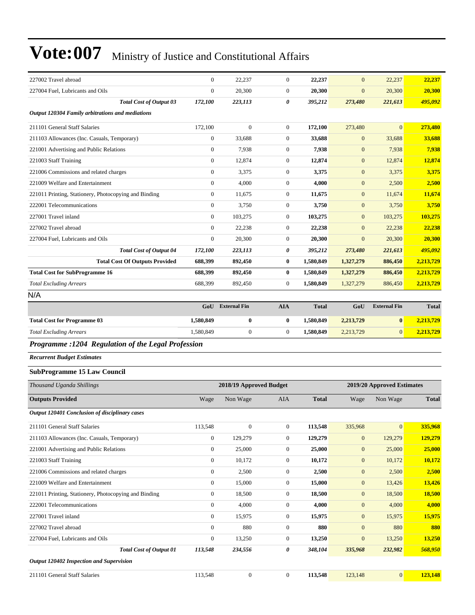| 227002 Travel abroad                                  | $\mathbf{0}$                | 22,237                  | $\overline{0}$   | 22,237             | $\mathbf{0}$                | 22,237                     | 22,237             |
|-------------------------------------------------------|-----------------------------|-------------------------|------------------|--------------------|-----------------------------|----------------------------|--------------------|
| 227004 Fuel, Lubricants and Oils                      | $\mathbf{0}$                | 20,300                  | $\boldsymbol{0}$ | 20,300             | $\overline{0}$              | 20,300                     | 20,300             |
| <b>Total Cost of Output 03</b>                        | 172,100                     | 223,113                 | 0                | 395,212            | 273,480                     | 221,613                    | 495,092            |
| Output 120304 Family arbitrations and mediations      |                             |                         |                  |                    |                             |                            |                    |
| 211101 General Staff Salaries                         | 172,100                     | $\overline{0}$          | $\boldsymbol{0}$ | 172,100            | 273,480                     | $\overline{0}$             | 273,480            |
| 211103 Allowances (Inc. Casuals, Temporary)           | $\boldsymbol{0}$            | 33,688                  | $\boldsymbol{0}$ | 33,688             | $\mathbf{0}$                | 33,688                     | 33,688             |
| 221001 Advertising and Public Relations               | $\boldsymbol{0}$            | 7,938                   | $\boldsymbol{0}$ | 7,938              | $\mathbf{0}$                | 7,938                      | 7,938              |
| 221003 Staff Training                                 | $\boldsymbol{0}$            | 12,874                  | $\boldsymbol{0}$ | 12,874             | $\mathbf{0}$                | 12,874                     | 12,874             |
| 221006 Commissions and related charges                | $\boldsymbol{0}$            | 3,375                   | $\boldsymbol{0}$ | 3,375              | $\mathbf{0}$                | 3,375                      | 3,375              |
| 221009 Welfare and Entertainment                      | $\boldsymbol{0}$            | 4,000                   | $\boldsymbol{0}$ | 4,000              | $\mathbf{0}$                | 2,500                      | 2,500              |
| 221011 Printing, Stationery, Photocopying and Binding | $\boldsymbol{0}$            | 11,675                  | $\boldsymbol{0}$ | 11,675             | $\mathbf{0}$                | 11,674                     | 11,674             |
| 222001 Telecommunications                             | $\boldsymbol{0}$            | 3,750                   | $\boldsymbol{0}$ | 3,750              | $\mathbf{0}$                | 3,750                      | 3,750              |
| 227001 Travel inland                                  | $\mathbf{0}$                | 103,275                 | $\boldsymbol{0}$ | 103,275            | $\mathbf{0}$                | 103,275                    | 103,275            |
| 227002 Travel abroad                                  | $\mathbf{0}$                | 22,238                  | 0                | 22,238             | $\mathbf{0}$                | 22,238                     | 22,238             |
| 227004 Fuel, Lubricants and Oils                      | $\mathbf{0}$                | 20,300                  | $\boldsymbol{0}$ | 20,300             | $\mathbf{0}$                | 20,300                     | 20,300             |
| <b>Total Cost of Output 04</b>                        | 172,100                     | 223,113                 | 0                | 395,212            | 273,480                     | 221,613                    | 495,092            |
| <b>Total Cost Of Outputs Provided</b>                 | 688,399                     | 892,450                 | $\bf{0}$         | 1,580,849          | 1,327,279                   | 886,450                    | 2,213,729          |
| <b>Total Cost for SubProgramme 16</b>                 | 688.399                     | 892,450                 | $\bf{0}$         | 1,580,849          | 1,327,279                   | 886,450                    | 2,213,729          |
| <b>Total Excluding Arrears</b>                        | 688,399                     | 892,450                 | 0                | 1,580,849          | 1,327,279                   | 886,450                    | 2,213,729          |
| N/A                                                   |                             |                         |                  |                    |                             |                            |                    |
|                                                       | GoU                         | <b>External Fin</b>     | <b>AIA</b>       | <b>Total</b>       | GoU                         | <b>External Fin</b>        | <b>Total</b>       |
| <b>Total Cost for Programme 03</b>                    | 1,580,849                   | 0                       | $\bf{0}$         | 1,580,849          | 2,213,729                   | $\bf{0}$                   | 2,213,729          |
|                                                       |                             |                         |                  |                    |                             |                            |                    |
| <b>Total Excluding Arrears</b>                        | 1,580,849                   | $\boldsymbol{0}$        | $\overline{0}$   | 1,580,849          | 2,213,729                   | $\mathbf{0}$               | 2,213,729          |
| Programme : 1204 Regulation of the Legal Profession   |                             |                         |                  |                    |                             |                            |                    |
| <b>Recurrent Budget Estimates</b>                     |                             |                         |                  |                    |                             |                            |                    |
| <b>SubProgramme 15 Law Council</b>                    |                             |                         |                  |                    |                             |                            |                    |
| Thousand Uganda Shillings                             |                             | 2018/19 Approved Budget |                  |                    |                             | 2019/20 Approved Estimates |                    |
| <b>Outputs Provided</b>                               | Wage                        | Non Wage                | <b>AIA</b>       | <b>Total</b>       | Wage                        | Non Wage                   | <b>Total</b>       |
| Output 120401 Conclusion of disciplinary cases        |                             |                         |                  |                    |                             |                            |                    |
| 211101 General Staff Salaries                         |                             | $\boldsymbol{0}$        | $\boldsymbol{0}$ |                    |                             | $\mathbf{0}$               |                    |
| 211103 Allowances (Inc. Casuals, Temporary)           | 113,548<br>$\boldsymbol{0}$ | 129,279                 | $\boldsymbol{0}$ | 113,548<br>129,279 | 335,968<br>$\boldsymbol{0}$ | 129,279                    | 335,968<br>129,279 |
| 221001 Advertising and Public Relations               | $\boldsymbol{0}$            | 25,000                  | $\boldsymbol{0}$ | 25,000             | $\boldsymbol{0}$            | 25,000                     | 25,000             |
| 221003 Staff Training                                 | $\boldsymbol{0}$            | 10,172                  | 0                | 10,172             | $\mathbf{0}$                | 10,172                     | 10,172             |
| 221006 Commissions and related charges                | $\boldsymbol{0}$            | 2,500                   | $\boldsymbol{0}$ | 2,500              | $\mathbf{0}$                | 2,500                      | 2,500              |
| 221009 Welfare and Entertainment                      | $\boldsymbol{0}$            | 15,000                  | $\boldsymbol{0}$ | 15,000             | $\mathbf{0}$                | 13,426                     | 13,426             |
| 221011 Printing, Stationery, Photocopying and Binding | $\boldsymbol{0}$            | 18,500                  | $\boldsymbol{0}$ | 18,500             | $\boldsymbol{0}$            | 18,500                     | 18,500             |
| 222001 Telecommunications                             | $\boldsymbol{0}$            | 4,000                   | $\boldsymbol{0}$ | 4,000              | $\mathbf{0}$                | 4,000                      | 4,000              |
| 227001 Travel inland                                  | $\mathbf{0}$                | 15,975                  | 0                | 15,975             | $\mathbf{0}$                | 15,975                     | 15,975             |
| 227002 Travel abroad                                  | $\mathbf{0}$                | 880                     | $\boldsymbol{0}$ | 880                | $\mathbf{0}$                | 880                        | 880                |
| 227004 Fuel, Lubricants and Oils                      | $\boldsymbol{0}$            | 13,250                  | $\boldsymbol{0}$ | 13,250             | $\mathbf{0}$                | 13,250                     | <b>13,250</b>      |
| <b>Total Cost of Output 01</b>                        | 113,548                     | 234,556                 | 0                | 348,104            | 335,968                     | 232,982                    | 568,950            |
| Output 120402 Inspection and Supervision              |                             |                         |                  |                    |                             |                            |                    |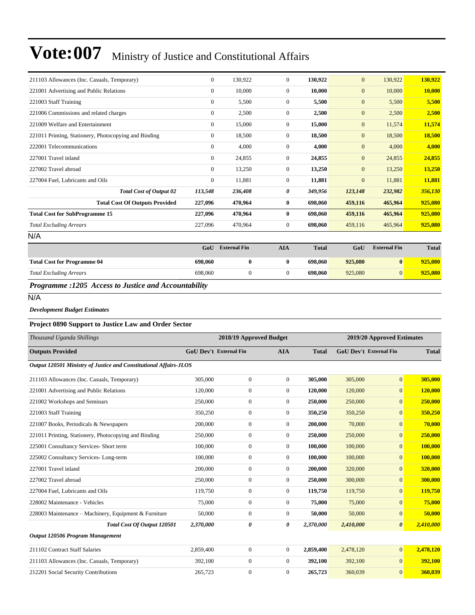| 211103 Allowances (Inc. Casuals, Temporary)           | $\mathbf{0}$   | 130,922             | $\Omega$     | 130,922      | $\mathbf{0}$ | 130,922             | 130,922      |
|-------------------------------------------------------|----------------|---------------------|--------------|--------------|--------------|---------------------|--------------|
| 221001 Advertising and Public Relations               | $\mathbf{0}$   | 10.000              | $\mathbf{0}$ | 10.000       | $\mathbf{0}$ | 10,000              | 10,000       |
| 221003 Staff Training                                 | $\mathbf{0}$   | 5,500               | $\mathbf{0}$ | 5,500        | $\mathbf{0}$ | 5,500               | 5,500        |
| 221006 Commissions and related charges                | $\overline{0}$ | 2,500               | $\mathbf{0}$ | 2,500        | $\mathbf{0}$ | 2,500               | 2,500        |
| 221009 Welfare and Entertainment                      | $\overline{0}$ | 15,000              | $\mathbf{0}$ | 15,000       | $\mathbf{0}$ | 11,574              | 11,574       |
| 221011 Printing, Stationery, Photocopying and Binding | $\overline{0}$ | 18,500              | $\mathbf{0}$ | 18,500       | $\mathbf{0}$ | 18,500              | 18,500       |
| 222001 Telecommunications                             | $\overline{0}$ | 4,000               | $\mathbf{0}$ | 4,000        | $\mathbf{0}$ | 4,000               | 4,000        |
| 227001 Travel inland                                  | $\mathbf{0}$   | 24,855              | $\mathbf{0}$ | 24,855       | $\mathbf{0}$ | 24,855              | 24,855       |
| 227002 Travel abroad                                  | $\mathbf{0}$   | 13,250              | $\Omega$     | 13,250       | $\mathbf{0}$ | 13,250              | 13,250       |
| 227004 Fuel, Lubricants and Oils                      | $\mathbf{0}$   | 11,881              | $\mathbf{0}$ | 11,881       | $\mathbf{0}$ | 11,881              | 11,881       |
| <b>Total Cost of Output 02</b>                        | 113,548        | 236,408             | 0            | 349,956      | 123,148      | 232,982             | 356,130      |
| <b>Total Cost Of Outputs Provided</b>                 | 227,096        | 470,964             | $\bf{0}$     | 698,060      | 459,116      | 465,964             | 925,080      |
| <b>Total Cost for SubProgramme 15</b>                 | 227,096        | 470,964             | $\bf{0}$     | 698,060      | 459,116      | 465,964             | 925,080      |
| <b>Total Excluding Arrears</b>                        | 227,096        | 470,964             | $\mathbf{0}$ | 698,060      | 459,116      | 465,964             | 925,080      |
| N/A                                                   |                |                     |              |              |              |                     |              |
|                                                       | GoU            | <b>External Fin</b> | <b>AIA</b>   | <b>Total</b> | GoU          | <b>External Fin</b> | <b>Total</b> |
| <b>Total Cost for Programme 04</b>                    | 698,060        | $\bf{0}$            | $\bf{0}$     | 698,060      | 925,080      | $\bf{0}$            | 925,080      |
| <b>Total Excluding Arrears</b>                        | 698,060        | $\mathbf{0}$        | $\Omega$     | 698,060      | 925,080      | $\mathbf{0}$        | 925,080      |

### *Programme :1205 Access to Justice and Accountability*

#### *Development Budget Estimates*

### **Project 0890 Support to Justice Law and Order Sector**

| Thousand Uganda Shillings                                         | 2018/19 Approved Budget       | 2019/20 Approved Estimates |                |              |                               |                       |              |
|-------------------------------------------------------------------|-------------------------------|----------------------------|----------------|--------------|-------------------------------|-----------------------|--------------|
| <b>Outputs Provided</b>                                           | <b>GoU Dev't External Fin</b> |                            | <b>AIA</b>     | <b>Total</b> | <b>GoU Dev't External Fin</b> |                       | <b>Total</b> |
| Output 120501 Ministry of Justice and Constitutional Affairs-JLOS |                               |                            |                |              |                               |                       |              |
| 211103 Allowances (Inc. Casuals, Temporary)                       | 305,000                       | $\overline{0}$             | $\Omega$       | 305,000      | 305,000                       | $\mathbf{0}$          | 305,000      |
| 221001 Advertising and Public Relations                           | 120,000                       | $\mathbf{0}$               | $\overline{0}$ | 120,000      | 120,000                       | $\mathbf{0}$          | 120,000      |
| 221002 Workshops and Seminars                                     | 250,000                       | $\mathbf{0}$               | $\overline{0}$ | 250,000      | 250,000                       | $\mathbf{0}$          | 250,000      |
| 221003 Staff Training                                             | 350,250                       | $\mathbf{0}$               | $\overline{0}$ | 350,250      | 350,250                       | $\mathbf{0}$          | 350,250      |
| 221007 Books, Periodicals & Newspapers                            | 200,000                       | $\boldsymbol{0}$           | $\overline{0}$ | 200,000      | 70,000                        | $\mathbf{0}$          | 70,000       |
| 221011 Printing, Stationery, Photocopying and Binding             | 250,000                       | $\mathbf{0}$               | $\overline{0}$ | 250,000      | 250,000                       | $\mathbf{0}$          | 250,000      |
| 225001 Consultancy Services- Short term                           | 100,000                       | $\mathbf{0}$               | $\Omega$       | 100.000      | 100,000                       | $\mathbf{0}$          | 100,000      |
| 225002 Consultancy Services-Long-term                             | 100,000                       | $\boldsymbol{0}$           | $\overline{0}$ | 100,000      | 100,000                       | $\mathbf{0}$          | 100,000      |
| 227001 Travel inland                                              | 200,000                       | $\boldsymbol{0}$           | $\overline{0}$ | 200,000      | 320,000                       | $\mathbf{0}$          | 320,000      |
| 227002 Travel abroad                                              | 250,000                       | $\mathbf{0}$               | $\overline{0}$ | 250,000      | 300,000                       | $\mathbf{0}$          | 300,000      |
| 227004 Fuel, Lubricants and Oils                                  | 119,750                       | $\boldsymbol{0}$           | $\Omega$       | 119,750      | 119,750                       | $\mathbf{0}$          | 119,750      |
| 228002 Maintenance - Vehicles                                     | 75,000                        | $\mathbf{0}$               | $\overline{0}$ | 75,000       | 75,000                        | $\Omega$              | 75,000       |
| 228003 Maintenance - Machinery, Equipment & Furniture             | 50,000                        | $\boldsymbol{0}$           | $\overline{0}$ | 50,000       | 50,000                        | $\mathbf{0}$          | 50,000       |
| <b>Total Cost Of Output 120501</b>                                | 2,370,000                     | 0                          | 0              | 2,370,000    | 2,410,000                     | $\boldsymbol{\theta}$ | 2,410,000    |
| Output 120506 Program Management                                  |                               |                            |                |              |                               |                       |              |
| 211102 Contract Staff Salaries                                    | 2,859,400                     | $\mathbf{0}$               | $\overline{0}$ | 2,859,400    | 2,478,120                     | $\overline{0}$        | 2,478,120    |
| 211103 Allowances (Inc. Casuals, Temporary)                       | 392,100                       | $\boldsymbol{0}$           | $\Omega$       | 392,100      | 392,100                       | $\mathbf{0}$          | 392,100      |
| 212201 Social Security Contributions                              | 265,723                       | $\mathbf{0}$               | $\theta$       | 265,723      | 360,039                       | $\Omega$              | 360,039      |

N/A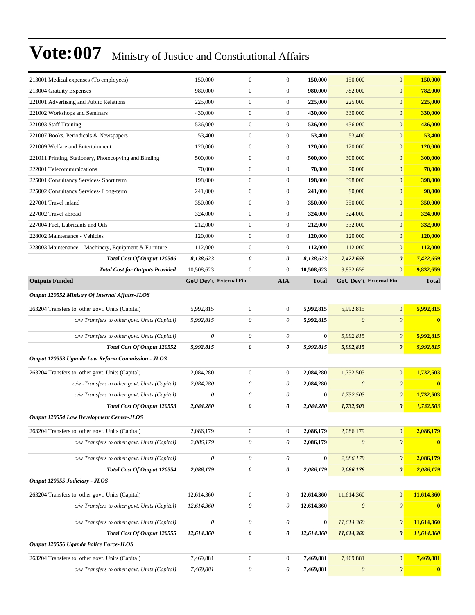| 213001 Medical expenses (To employees)                | 150,000                   | $\boldsymbol{0}$          | $\mathbf{0}$     | 150,000      | 150,000                   | $\boldsymbol{0}$          | 150,000                              |
|-------------------------------------------------------|---------------------------|---------------------------|------------------|--------------|---------------------------|---------------------------|--------------------------------------|
| 213004 Gratuity Expenses                              | 980,000                   | $\boldsymbol{0}$          | $\mathbf{0}$     | 980,000      | 782,000                   | $\boldsymbol{0}$          | 782,000                              |
| 221001 Advertising and Public Relations               | 225,000                   | $\boldsymbol{0}$          | $\mathbf{0}$     | 225,000      | 225,000                   | $\boldsymbol{0}$          | 225,000                              |
| 221002 Workshops and Seminars                         | 430,000                   | $\boldsymbol{0}$          | $\mathbf{0}$     | 430,000      | 330,000                   | $\boldsymbol{0}$          | 330,000                              |
| 221003 Staff Training                                 | 536,000                   | $\boldsymbol{0}$          | $\mathbf{0}$     | 536,000      | 436,000                   | $\boldsymbol{0}$          | 436,000                              |
| 221007 Books, Periodicals & Newspapers                | 53,400                    | $\boldsymbol{0}$          | $\mathbf{0}$     | 53,400       | 53,400                    | $\boldsymbol{0}$          | 53,400                               |
| 221009 Welfare and Entertainment                      | 120,000                   | $\boldsymbol{0}$          | $\mathbf{0}$     | 120,000      | 120,000                   | $\boldsymbol{0}$          | 120,000                              |
| 221011 Printing, Stationery, Photocopying and Binding | 500,000                   | $\boldsymbol{0}$          | $\mathbf{0}$     | 500,000      | 300,000                   | $\boldsymbol{0}$          | <b>300,000</b>                       |
| 222001 Telecommunications                             | 70,000                    | $\boldsymbol{0}$          | $\mathbf{0}$     | 70,000       | 70,000                    | $\boldsymbol{0}$          | 70,000                               |
| 225001 Consultancy Services- Short term               | 198,000                   | $\boldsymbol{0}$          | $\boldsymbol{0}$ | 198,000      | 398,000                   | $\boldsymbol{0}$          | 398,000                              |
| 225002 Consultancy Services-Long-term                 | 241,000                   | $\boldsymbol{0}$          | $\mathbf{0}$     | 241,000      | 90,000                    | $\boldsymbol{0}$          | 90,000                               |
| 227001 Travel inland                                  | 350,000                   | $\boldsymbol{0}$          | $\mathbf{0}$     | 350,000      | 350,000                   | $\boldsymbol{0}$          | 350,000                              |
| 227002 Travel abroad                                  | 324,000                   | $\boldsymbol{0}$          | $\mathbf{0}$     | 324,000      | 324,000                   | $\boldsymbol{0}$          | <b>324,000</b>                       |
| 227004 Fuel, Lubricants and Oils                      | 212,000                   | $\boldsymbol{0}$          | $\mathbf{0}$     | 212,000      | 332,000                   | $\boldsymbol{0}$          | 332,000                              |
| 228002 Maintenance - Vehicles                         | 120,000                   | $\boldsymbol{0}$          | $\mathbf{0}$     | 120,000      | 120,000                   | $\boldsymbol{0}$          | 120,000                              |
| 228003 Maintenance - Machinery, Equipment & Furniture | 112,000                   | $\boldsymbol{0}$          | $\boldsymbol{0}$ | 112,000      | 112,000                   | $\boldsymbol{0}$          | 112,000                              |
| Total Cost Of Output 120506                           | 8,138,623                 | 0                         | 0                | 8,138,623    | 7,422,659                 | $\boldsymbol{\theta}$     | 7,422,659                            |
| <b>Total Cost for Outputs Provided</b>                | 10,508,623                | $\boldsymbol{0}$          | $\mathbf{0}$     | 10,508,623   | 9,832,659                 | $\boldsymbol{0}$          | 9,832,659                            |
| <b>Outputs Funded</b>                                 | GoU Dev't External Fin    |                           | <b>AIA</b>       | <b>Total</b> |                           | GoU Dev't External Fin    | <b>Total</b>                         |
| Output 120552 Ministry Of Internal Affairs-JLOS       |                           |                           |                  |              |                           |                           |                                      |
| 263204 Transfers to other govt. Units (Capital)       | 5,992,815                 | $\boldsymbol{0}$          | $\boldsymbol{0}$ | 5,992,815    | 5,992,815                 | $\overline{0}$            | 5,992,815                            |
| o/w Transfers to other govt. Units (Capital)          | 5,992,815                 | 0                         | 0                | 5,992,815    | $\boldsymbol{\theta}$     | $\boldsymbol{\theta}$     | $\bf{0}$                             |
| o/w Transfers to other govt. Units (Capital)          | $\theta$                  | $\boldsymbol{\mathit{0}}$ | $\theta$         | $\bf{0}$     | 5,992,815                 | $\boldsymbol{\theta}$     | 5,992,815                            |
| Total Cost Of Output 120552                           | 5,992,815                 | 0                         | 0                | 5,992,815    | 5,992,815                 | $\boldsymbol{\theta}$     | 5,992,815                            |
| Output 120553 Uganda Law Reform Commission - JLOS     |                           |                           |                  |              |                           |                           |                                      |
| 263204 Transfers to other govt. Units (Capital)       | 2,084,280                 | $\boldsymbol{0}$          | $\boldsymbol{0}$ | 2,084,280    | 1,732,503                 | $\boldsymbol{0}$          | 1,732,503                            |
| $o/w$ -Transfers to other govt. Units (Capital)       | 2,084,280                 | 0                         | $\theta$         | 2,084,280    | $\boldsymbol{\theta}$     | $\boldsymbol{\theta}$     | $\bf{0}$                             |
| o/w Transfers to other govt. Units (Capital)          | 0                         | $\boldsymbol{\theta}$     | $\theta$         | $\bf{0}$     | 1,732,503                 | $\boldsymbol{\mathit{0}}$ | 1,732,503                            |
| Total Cost Of Output 120553                           | 2,084,280                 | 0                         | 0                | 2,084,280    | 1,732,503                 | $\boldsymbol{\theta}$     | 1,732,503                            |
| Output 120554 Law Development Center-JLOS             |                           |                           |                  |              |                           |                           |                                      |
| 263204 Transfers to other govt. Units (Capital)       | 2,086,179                 | $\boldsymbol{0}$          | $\boldsymbol{0}$ | 2,086,179    | 2,086,179                 | $\boldsymbol{0}$          | 2,086,179                            |
| o/w Transfers to other govt. Units (Capital)          | 2,086,179                 | $\boldsymbol{\mathit{0}}$ | $\theta$         | 2,086,179    | $\boldsymbol{\mathit{0}}$ | $\boldsymbol{\mathit{0}}$ | $\bf{0}$                             |
| o/w Transfers to other govt. Units (Capital)          | $\theta$                  | $\boldsymbol{\mathit{0}}$ | $\theta$         | $\bf{0}$     | 2,086,179                 | $\boldsymbol{\mathit{0}}$ | 2,086,179                            |
| Total Cost Of Output 120554                           | 2,086,179                 | 0                         | 0                | 2,086,179    | 2,086,179                 | 0                         | 2,086,179                            |
| Output 120555 Judiciary - JLOS                        |                           |                           |                  |              |                           |                           |                                      |
|                                                       |                           | $\boldsymbol{0}$          | $\boldsymbol{0}$ |              | 11,614,360                | $\boldsymbol{0}$          | 11,614,360                           |
| 263204 Transfers to other govt. Units (Capital)       | 12,614,360                |                           |                  | 12,614,360   |                           |                           |                                      |
| o/w Transfers to other govt. Units (Capital)          | 12,614,360                | $\boldsymbol{\mathit{0}}$ | $\theta$         | 12,614,360   | $\boldsymbol{\theta}$     | $\boldsymbol{\mathit{0}}$ |                                      |
| o/w Transfers to other govt. Units (Capital)          | $\boldsymbol{\mathit{0}}$ | 0                         | $\theta$         | $\bf{0}$     | 11,614,360                | $\theta$                  |                                      |
| Total Cost Of Output 120555                           | 12,614,360                | 0                         | 0                | 12,614,360   | 11,614,360                | 0                         |                                      |
| Output 120556 Uganda Police Force-JLOS                |                           |                           |                  |              |                           |                           | $\bf{0}$<br>11,614,360<br>11,614,360 |
| 263204 Transfers to other govt. Units (Capital)       | 7,469,881                 | $\boldsymbol{0}$          | $\boldsymbol{0}$ | 7,469,881    | 7,469,881                 | $\boldsymbol{0}$          | 7,469,881                            |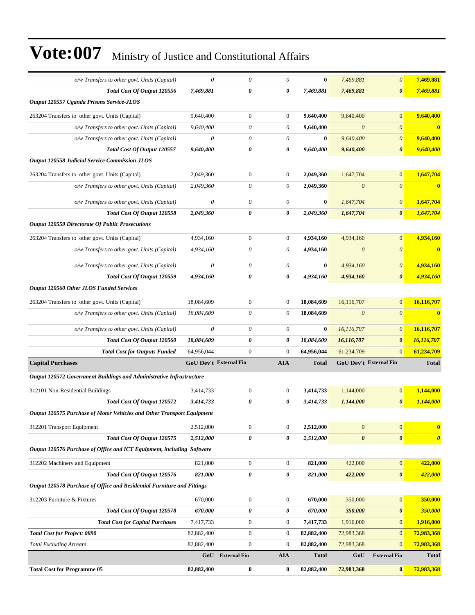| o/w Transfers to other govt. Units (Capital)                            | $\theta$               | 0                     | $\theta$         | $\bf{0}$     | 7,469,881             | $\boldsymbol{\theta}$     | 7,469,881             |
|-------------------------------------------------------------------------|------------------------|-----------------------|------------------|--------------|-----------------------|---------------------------|-----------------------|
| Total Cost Of Output 120556                                             | 7,469,881              | 0                     | 0                | 7,469,881    | 7,469,881             | 0                         | 7,469,881             |
| Output 120557 Uganda Prisons Service-JLOS                               |                        |                       |                  |              |                       |                           |                       |
| 263204 Transfers to other govt. Units (Capital)                         | 9,640,400              | $\boldsymbol{0}$      | $\overline{0}$   | 9,640,400    | 9,640,400             | $\overline{0}$            | 9,640,400             |
| o/w Transfers to other govt. Units (Capital)                            | 9,640,400              | $\boldsymbol{\theta}$ | 0                | 9,640,400    | $\boldsymbol{\theta}$ | $\boldsymbol{\theta}$     | $\bf{0}$              |
| o/w Transfers to other govt. Units (Capital)                            | $\boldsymbol{\theta}$  | $\theta$              | 0                | $\bf{0}$     | 9,640,400             | $\boldsymbol{\theta}$     | 9,640,400             |
| Total Cost Of Output 120557                                             | 9,640,400              | 0                     | 0                | 9,640,400    | 9,640,400             | $\boldsymbol{\theta}$     | 9,640,400             |
| <b>Output 120558 Judicial Service Commission-JLOS</b>                   |                        |                       |                  |              |                       |                           |                       |
| 263204 Transfers to other govt. Units (Capital)                         | 2,049,360              | $\boldsymbol{0}$      | $\overline{0}$   | 2,049,360    | 1,647,704             | $\overline{0}$            | 1,647,704             |
| o/w Transfers to other govt. Units (Capital)                            | 2,049,360              | $\boldsymbol{\theta}$ | 0                | 2,049,360    | $\boldsymbol{\theta}$ | $\boldsymbol{\theta}$     | $\bf{0}$              |
| o/w Transfers to other govt. Units (Capital)                            | $\theta$               | $\theta$              | 0                | $\bf{0}$     | 1,647,704             | $\boldsymbol{\theta}$     | 1,647,704             |
| Total Cost Of Output 120558                                             | 2,049,360              | 0                     | 0                | 2,049,360    | 1,647,704             | $\boldsymbol{\theta}$     | 1,647,704             |
| <b>Output 120559 Directorate Of Public Prosecutions</b>                 |                        |                       |                  |              |                       |                           |                       |
| 263204 Transfers to other govt. Units (Capital)                         | 4,934,160              | $\boldsymbol{0}$      | $\mathbf{0}$     | 4,934,160    | 4,934,160             | $\overline{0}$            | 4,934,160             |
| o/w Transfers to other govt. Units (Capital)                            | 4,934,160              | $\theta$              | 0                | 4,934,160    | $\boldsymbol{\theta}$ | $\boldsymbol{\theta}$     | $\bf{0}$              |
| o/w Transfers to other govt. Units (Capital)                            | $\theta$               | $\boldsymbol{\theta}$ | 0                | $\bf{0}$     | 4,934,160             | $\boldsymbol{\mathit{0}}$ | 4,934,160             |
| Total Cost Of Output 120559                                             | 4,934,160              | 0                     | 0                | 4,934,160    | 4,934,160             | $\boldsymbol{\theta}$     | 4,934,160             |
| <b>Output 120560 Other JLOS Funded Services</b>                         |                        |                       |                  |              |                       |                           |                       |
| 263204 Transfers to other govt. Units (Capital)                         | 18,084,609             | $\bf{0}$              | $\overline{0}$   | 18,084,609   | 16,116,707            | $\overline{0}$            | 16,116,707            |
| o/w Transfers to other govt. Units (Capital)                            | 18,084,609             | $\boldsymbol{\theta}$ | $\theta$         | 18,084,609   | $\boldsymbol{\theta}$ | $\theta$                  | $\bf{0}$              |
| o/w Transfers to other govt. Units (Capital)                            | $\theta$               | $\theta$              | 0                | $\bf{0}$     | 16,116,707            | $\theta$                  | 16,116,707            |
| Total Cost Of Output 120560                                             | 18,084,609             | 0                     | 0                | 18,084,609   | 16,116,707            | $\boldsymbol{\theta}$     | 16,116,707            |
| <b>Total Cost for Outputs Funded</b>                                    | 64,956,044             | $\boldsymbol{0}$      | $\mathbf{0}$     | 64,956,044   | 61,234,709            | $\overline{0}$            | 61,234,709            |
| <b>Capital Purchases</b>                                                | GoU Dev't External Fin |                       | <b>AIA</b>       | <b>Total</b> |                       | GoU Dev't External Fin    | <b>Total</b>          |
| Output 120572 Government Buildings and Administrative Infrastructure    |                        |                       |                  |              |                       |                           |                       |
| 312101 Non-Residential Buildings                                        | 3,414,733              | $\boldsymbol{0}$      | $\overline{0}$   | 3,414,733    | 1,144,000             | $\mathbf{0}$              | 1,144,000             |
| Total Cost Of Output 120572                                             | 3,414,733              | 0                     | $\theta$         | 3,414,733    | 1,144,000             | $\boldsymbol{\theta}$     | 1,144,000             |
| Output 120575 Purchase of Motor Vehicles and Other Transport Equipment  |                        |                       |                  |              |                       |                           |                       |
| 312201 Transport Equipment                                              | 2,512,000              | $\boldsymbol{0}$      | $\mathbf{0}$     | 2,512,000    | $\mathbf{0}$          | $\mathbf{0}$              | $\bf{0}$              |
| <b>Total Cost Of Output 120575</b>                                      | 2,512,000              | $\boldsymbol{\theta}$ | 0                | 2,512,000    | $\boldsymbol{\theta}$ | $\boldsymbol{\theta}$     | $\boldsymbol{\theta}$ |
| Output 120576 Purchase of Office and ICT Equipment, including Software  |                        |                       |                  |              |                       |                           |                       |
| 312202 Machinery and Equipment                                          | 821,000                | $\boldsymbol{0}$      | $\mathbf{0}$     | 821,000      | 422,000               | $\mathbf{0}$              | 422,000               |
| Total Cost Of Output 120576                                             | 821,000                | 0                     | 0                | 821,000      | 422,000               | $\boldsymbol{\theta}$     | 422,000               |
| Output 120578 Purchase of Office and Residential Furniture and Fittings |                        |                       |                  |              |                       |                           |                       |
| 312203 Furniture & Fixtures                                             | 670,000                | $\boldsymbol{0}$      | $\mathbf{0}$     | 670,000      | 350,000               | $\overline{0}$            | 350,000               |
| Total Cost Of Output 120578                                             | 670,000                | 0                     | 0                | 670,000      | 350,000               | $\boldsymbol{\theta}$     | 350,000               |
| <b>Total Cost for Capital Purchases</b>                                 | 7,417,733              | $\boldsymbol{0}$      | $\boldsymbol{0}$ | 7,417,733    | 1,916,000             | $\mathbf{0}$              | 1,916,000             |
| <b>Total Cost for Project: 0890</b>                                     | 82,882,400             | $\boldsymbol{0}$      | $\boldsymbol{0}$ | 82,882,400   | 72,983,368            | $\overline{0}$            | 72,983,368            |
| <b>Total Excluding Arrears</b>                                          | 82,882,400             | $\boldsymbol{0}$      | $\boldsymbol{0}$ | 82,882,400   | 72,983,368            | $\mathbf{0}$              | 72,983,368            |
|                                                                         | GoU                    | <b>External Fin</b>   | <b>AIA</b>       | <b>Total</b> | GoU                   | <b>External Fin</b>       | <b>Total</b>          |
| <b>Total Cost for Programme 05</b>                                      | 82,882,400             | $\bf{0}$              | $\bf{0}$         | 82,882,400   | 72,983,368            | $\bf{0}$                  | 72,983,368            |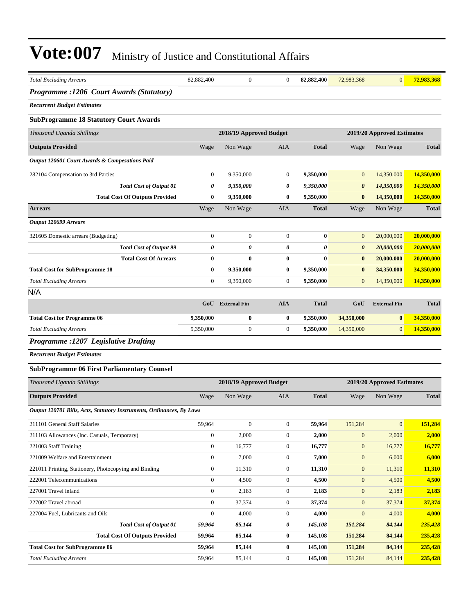| <b>Total Excluding Arrears</b>                                        | 82,882,400       | $\mathbf{0}$            | $\mathbf{0}$     | 82,882,400   | 72,983,368            | $\overline{0}$             | 72,983,368    |
|-----------------------------------------------------------------------|------------------|-------------------------|------------------|--------------|-----------------------|----------------------------|---------------|
| Programme : 1206 Court Awards (Statutory)                             |                  |                         |                  |              |                       |                            |               |
| <b>Recurrent Budget Estimates</b>                                     |                  |                         |                  |              |                       |                            |               |
|                                                                       |                  |                         |                  |              |                       |                            |               |
| <b>SubProgramme 18 Statutory Court Awards</b>                         |                  |                         |                  |              |                       |                            |               |
| Thousand Uganda Shillings                                             |                  | 2018/19 Approved Budget |                  |              |                       | 2019/20 Approved Estimates |               |
| <b>Outputs Provided</b>                                               | Wage             | Non Wage                | AIA              | <b>Total</b> | Wage                  | Non Wage                   | <b>Total</b>  |
| <b>Output 120601 Court Awards &amp; Compesations Paid</b>             |                  |                         |                  |              |                       |                            |               |
| 282104 Compensation to 3rd Parties                                    | $\boldsymbol{0}$ | 9,350,000               | $\boldsymbol{0}$ | 9,350,000    | $\mathbf{0}$          | 14,350,000                 | 14,350,000    |
| <b>Total Cost of Output 01</b>                                        | 0                | 9,350,000               | 0                | 9,350,000    | $\boldsymbol{\theta}$ | 14,350,000                 | 14,350,000    |
| <b>Total Cost Of Outputs Provided</b>                                 | $\bf{0}$         | 9,350,000               | $\bf{0}$         | 9,350,000    | $\bf{0}$              | 14,350,000                 | 14,350,000    |
| <b>Arrears</b>                                                        | Wage             | Non Wage                | AIA              | <b>Total</b> | Wage                  | Non Wage                   | <b>Total</b>  |
| Output 120699 Arrears                                                 |                  |                         |                  |              |                       |                            |               |
| 321605 Domestic arrears (Budgeting)                                   | 0                | $\mathbf{0}$            | $\boldsymbol{0}$ | $\bf{0}$     | $\mathbf{0}$          | 20,000,000                 | 20,000,000    |
| <b>Total Cost of Output 99</b>                                        | 0                | 0                       | 0                | 0            | $\boldsymbol{\theta}$ | 20,000,000                 | 20,000,000    |
| <b>Total Cost Of Arrears</b>                                          | $\bf{0}$         | $\bf{0}$                | $\bf{0}$         | $\bf{0}$     | $\bf{0}$              | 20,000,000                 | 20,000,000    |
| <b>Total Cost for SubProgramme 18</b>                                 | $\bf{0}$         | 9,350,000               | $\bf{0}$         | 9,350,000    | $\bf{0}$              | 34,350,000                 | 34,350,000    |
| <b>Total Excluding Arrears</b>                                        | $\overline{0}$   | 9,350,000               | $\boldsymbol{0}$ | 9,350,000    | $\mathbf{0}$          | 14,350,000                 | 14,350,000    |
| N/A                                                                   |                  |                         |                  |              |                       |                            |               |
|                                                                       |                  | GoU External Fin        | <b>AIA</b>       | <b>Total</b> | GoU                   | <b>External Fin</b>        | <b>Total</b>  |
| <b>Total Cost for Programme 06</b>                                    | 9,350,000        | $\bf{0}$                | $\bf{0}$         | 9,350,000    | 34,350,000            | $\bf{0}$                   | 34,350,000    |
| <b>Total Excluding Arrears</b>                                        | 9,350,000        | $\mathbf{0}$            | $\boldsymbol{0}$ | 9,350,000    | 14,350,000            | $\mathbf{0}$               | 14,350,000    |
| Programme :1207 Legislative Drafting                                  |                  |                         |                  |              |                       |                            |               |
| <b>Recurrent Budget Estimates</b>                                     |                  |                         |                  |              |                       |                            |               |
| <b>SubProgramme 06 First Parliamentary Counsel</b>                    |                  |                         |                  |              |                       |                            |               |
| Thousand Uganda Shillings                                             |                  | 2018/19 Approved Budget |                  |              |                       | 2019/20 Approved Estimates |               |
| <b>Outputs Provided</b>                                               | Wage             | Non Wage                | AIA              | <b>Total</b> | Wage                  | Non Wage                   | <b>Total</b>  |
| Output 120701 Bills, Acts, Statutory Instruments, Ordinances, By Laws |                  |                         |                  |              |                       |                            |               |
| 211101 General Staff Salaries                                         | 59,964           | $\boldsymbol{0}$        | $\boldsymbol{0}$ | 59,964       | 151,284               | $\mathbf{0}$               | 151,284       |
| 211103 Allowances (Inc. Casuals, Temporary)                           | $\overline{0}$   | 2,000                   | $\boldsymbol{0}$ | 2,000        | $\boldsymbol{0}$      | 2,000                      | 2,000         |
| 221003 Staff Training                                                 | $\boldsymbol{0}$ | 16,777                  | $\boldsymbol{0}$ | 16,777       | $\boldsymbol{0}$      | 16,777                     | 16,777        |
| 221009 Welfare and Entertainment                                      | 0                | 7,000                   | $\boldsymbol{0}$ | 7,000        | $\mathbf{0}$          | 6,000                      | 6,000         |
| 221011 Printing, Stationery, Photocopying and Binding                 | $\boldsymbol{0}$ | 11,310                  | $\boldsymbol{0}$ | 11,310       | $\mathbf{0}$          | 11,310                     | <b>11,310</b> |
| 222001 Telecommunications                                             | $\boldsymbol{0}$ | 4,500                   | $\boldsymbol{0}$ | 4,500        | $\mathbf{0}$          | 4,500                      | 4,500         |
| 227001 Travel inland                                                  | 0                | 2,183                   | $\boldsymbol{0}$ | 2,183        | $\mathbf{0}$          | 2,183                      | 2,183         |
| 227002 Travel abroad                                                  | $\mathbf{0}$     | 37,374                  | $\boldsymbol{0}$ | 37,374       | $\mathbf{0}$          | 37,374                     | 37,374        |
| 227004 Fuel, Lubricants and Oils                                      | 0                | 4,000                   | $\boldsymbol{0}$ | 4,000        | $\boldsymbol{0}$      | 4,000                      | 4,000         |
| <b>Total Cost of Output 01</b>                                        | 59,964           | 85,144                  | $\pmb{\theta}$   | 145,108      | 151,284               | 84,144                     | 235,428       |
| <b>Total Cost Of Outputs Provided</b>                                 | 59,964           | 85,144                  | $\bf{0}$         | 145,108      | 151,284               | 84,144                     | 235,428       |
| <b>Total Cost for SubProgramme 06</b>                                 | 59,964           | 85,144                  | $\bf{0}$         | 145,108      | 151,284               | 84,144                     | 235,428       |
| <b>Total Excluding Arrears</b>                                        | 59,964           | 85,144                  | $\boldsymbol{0}$ | 145,108      | 151,284               | 84,144                     | 235,428       |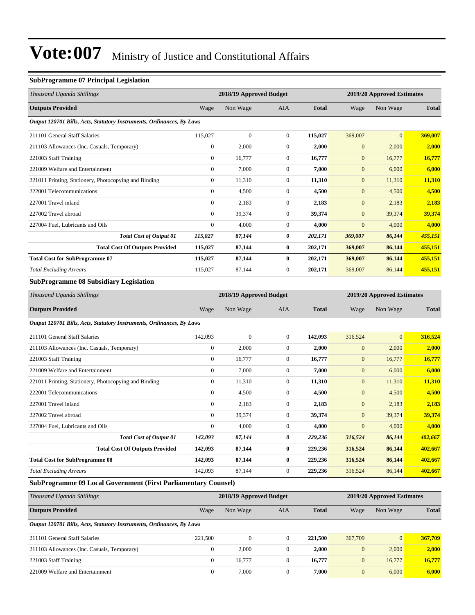#### **SubProgramme 07 Principal Legislation**

| Thousand Uganda Shillings                                             |                  | 2018/19 Approved Budget |                  |              | 2019/20 Approved Estimates |                            |               |
|-----------------------------------------------------------------------|------------------|-------------------------|------------------|--------------|----------------------------|----------------------------|---------------|
| <b>Outputs Provided</b>                                               | Wage             | Non Wage                | AIA              | <b>Total</b> | Wage                       | Non Wage                   | <b>Total</b>  |
| Output 120701 Bills, Acts, Statutory Instruments, Ordinances, By Laws |                  |                         |                  |              |                            |                            |               |
| 211101 General Staff Salaries                                         | 115,027          | $\overline{0}$          | $\overline{0}$   | 115,027      | 369,007                    | $\Omega$                   | 369,007       |
| 211103 Allowances (Inc. Casuals, Temporary)                           | $\boldsymbol{0}$ | 2,000                   | $\boldsymbol{0}$ | 2,000        | $\mathbf{0}$               | 2,000                      | 2,000         |
| 221003 Staff Training                                                 | $\mathbf{0}$     | 16,777                  | $\overline{0}$   | 16,777       | $\mathbf{0}$               | 16,777                     | 16,777        |
| 221009 Welfare and Entertainment                                      | $\mathbf{0}$     | 7,000                   | $\boldsymbol{0}$ | 7,000        | $\mathbf{0}$               | 6,000                      | 6,000         |
| 221011 Printing, Stationery, Photocopying and Binding                 | $\mathbf{0}$     | 11,310                  | $\boldsymbol{0}$ | 11,310       | $\mathbf{0}$               | 11,310                     | <b>11,310</b> |
| 222001 Telecommunications                                             | $\mathbf{0}$     | 4,500                   | $\mathbf{0}$     | 4,500        | $\mathbf{0}$               | 4,500                      | 4,500         |
| 227001 Travel inland                                                  | $\boldsymbol{0}$ | 2,183                   | $\boldsymbol{0}$ | 2,183        | $\mathbf{0}$               | 2,183                      | 2,183         |
| 227002 Travel abroad                                                  | $\boldsymbol{0}$ | 39,374                  | $\boldsymbol{0}$ | 39,374       | $\mathbf{0}$               | 39,374                     | 39,374        |
| 227004 Fuel, Lubricants and Oils                                      | $\mathbf{0}$     | 4,000                   | $\boldsymbol{0}$ | 4,000        | $\mathbf{0}$               | 4,000                      | 4,000         |
| <b>Total Cost of Output 01</b>                                        | 115,027          | 87,144                  | 0                | 202,171      | 369,007                    | 86,144                     | 455,151       |
| <b>Total Cost Of Outputs Provided</b>                                 | 115,027          | 87,144                  | $\bf{0}$         | 202,171      | 369,007                    | 86,144                     | 455,151       |
| <b>Total Cost for SubProgramme 07</b>                                 | 115,027          | 87,144                  | $\bf{0}$         | 202,171      | 369,007                    | 86,144                     | 455,151       |
| <b>Total Excluding Arrears</b>                                        | 115,027          | 87,144                  | $\boldsymbol{0}$ | 202,171      | 369,007                    | 86,144                     | 455,151       |
| <b>SubProgramme 08 Subsidiary Legislation</b>                         |                  |                         |                  |              |                            |                            |               |
| Thousand Uganda Shillings                                             |                  | 2018/19 Approved Budget |                  |              |                            | 2019/20 Approved Estimates |               |
| <b>Outputs Provided</b>                                               | Wage             | Non Wage                | <b>AIA</b>       | <b>Total</b> | Wage                       | Non Wage                   | <b>Total</b>  |
| Output 120701 Bills, Acts, Statutory Instruments, Ordinances, By Laws |                  |                         |                  |              |                            |                            |               |
| 211101 General Staff Salaries                                         | 142,093          | $\boldsymbol{0}$        | $\boldsymbol{0}$ | 142,093      | 316,524                    | $\mathbf{0}$               | 316,524       |
| 211103 Allowances (Inc. Casuals, Temporary)                           | $\boldsymbol{0}$ | 2,000                   | $\boldsymbol{0}$ | 2,000        | $\boldsymbol{0}$           | 2,000                      | 2,000         |
| 221003 Staff Training                                                 | $\boldsymbol{0}$ | 16,777                  | $\mathbf{0}$     | 16,777       | $\boldsymbol{0}$           | 16,777                     | 16,777        |
| 221009 Welfare and Entertainment                                      | $\mathbf{0}$     | 7,000                   | $\boldsymbol{0}$ | 7,000        | $\mathbf{0}$               | 6,000                      | 6,000         |
| 221011 Printing, Stationery, Photocopying and Binding                 | $\mathbf{0}$     | 11,310                  | $\boldsymbol{0}$ | 11,310       | $\mathbf{0}$               | 11,310                     | 11,310        |
| 222001 Telecommunications                                             | $\mathbf{0}$     | 4,500                   | $\boldsymbol{0}$ | 4,500        | $\boldsymbol{0}$           | 4,500                      | 4,500         |
| 227001 Travel inland                                                  | $\mathbf{0}$     | 2,183                   | $\boldsymbol{0}$ | 2,183        | $\mathbf{0}$               | 2,183                      | 2,183         |
| 227002 Travel abroad                                                  | $\theta$         | 39,374                  | $\overline{0}$   | 39,374       | $\mathbf{0}$               | 39,374                     | 39,374        |
| 227004 Fuel, Lubricants and Oils                                      | $\mathbf{0}$     | 4,000                   | $\boldsymbol{0}$ | 4,000        | $\mathbf{0}$               | 4,000                      | 4,000         |
| <b>Total Cost of Output 01</b>                                        | 142,093          | 87,144                  | 0                | 229,236      | 316,524                    | 86,144                     | 402,667       |
| <b>Total Cost Of Outputs Provided</b>                                 | 142,093          | 87,144                  | $\bf{0}$         | 229,236      | 316,524                    | 86,144                     | 402,667       |

**SubProgramme 09 Local Government (First Parliamentary Counsel)**

| Thousand Uganda Shillings                                             |          | 2018/19 Approved Budget |          |              |                | 2019/20 Approved Estimates |              |  |  |
|-----------------------------------------------------------------------|----------|-------------------------|----------|--------------|----------------|----------------------------|--------------|--|--|
| <b>Outputs Provided</b>                                               | Wage     | Non Wage                | AIA      | <b>Total</b> | Wage           | Non Wage                   | <b>Total</b> |  |  |
| Output 120701 Bills, Acts, Statutory Instruments, Ordinances, By Laws |          |                         |          |              |                |                            |              |  |  |
| 211101 General Staff Salaries                                         | 221,500  | $\mathbf{0}$            | $\Omega$ | 221.500      | 367,709        | $\vert 0 \vert$            | 367,709      |  |  |
| 211103 Allowances (Inc. Casuals, Temporary)                           | $\Omega$ | 2,000                   | $\Omega$ | 2.000        | $\overline{0}$ | 2,000                      | 2,000        |  |  |
| 221003 Staff Training                                                 | $\Omega$ | 16.777                  | $\Omega$ | 16.777       | $\mathbf{0}$   | 16,777                     | 16,777       |  |  |
| 221009 Welfare and Entertainment                                      | $\Omega$ | 7.000                   | $\Omega$ | 7,000        | $\overline{0}$ | 6,000                      | 6,000        |  |  |

**Total Cost for SubProgramme 08 142,093 87,144 0 229,236 316,524 86,144 402,667** *Total Excluding Arrears* 142,093 87,144 0 **229,236** 316,524 86,144 **402,667**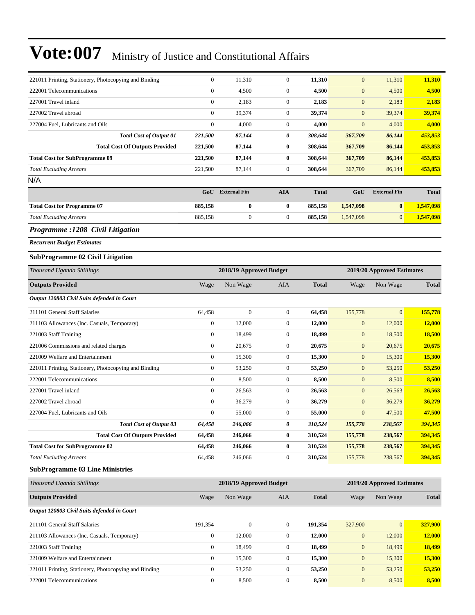| 221011 Printing, Stationery, Photocopying and Binding                              | $\boldsymbol{0}$                     | 11,310                  | $\mathbf{0}$                     | 11,310             | $\mathbf{0}$                 | 11,310                     | 11,310             |
|------------------------------------------------------------------------------------|--------------------------------------|-------------------------|----------------------------------|--------------------|------------------------------|----------------------------|--------------------|
| 222001 Telecommunications                                                          | $\boldsymbol{0}$                     | 4,500                   | $\overline{0}$                   | 4,500              | $\mathbf{0}$                 | 4,500                      | 4,500              |
| 227001 Travel inland                                                               | $\overline{0}$                       | 2,183                   | $\boldsymbol{0}$                 | 2,183              | $\mathbf{0}$                 | 2,183                      | 2,183              |
| 227002 Travel abroad                                                               | $\overline{0}$                       | 39,374                  | $\mathbf{0}$                     | 39,374             | $\boldsymbol{0}$             | 39,374                     | 39,374             |
| 227004 Fuel, Lubricants and Oils                                                   | $\boldsymbol{0}$                     | 4,000                   | $\mathbf{0}$                     | 4,000              | $\mathbf{0}$                 | 4,000                      | 4,000              |
| <b>Total Cost of Output 01</b>                                                     | 221,500                              | 87,144                  | 0                                | 308,644            | 367,709                      | 86,144                     | 453,853            |
| <b>Total Cost Of Outputs Provided</b>                                              | 221,500                              | 87,144                  | $\bf{0}$                         | 308,644            | 367,709                      | 86,144                     | 453,853            |
| <b>Total Cost for SubProgramme 09</b>                                              | 221,500                              | 87,144                  | $\bf{0}$                         | 308,644            | 367,709                      | 86,144                     | 453,853            |
| <b>Total Excluding Arrears</b>                                                     | 221,500                              | 87,144                  | $\mathbf{0}$                     | 308,644            | 367,709                      | 86,144                     | 453,853            |
| N/A                                                                                |                                      |                         |                                  |                    |                              |                            |                    |
|                                                                                    | GoU                                  | <b>External Fin</b>     | <b>AIA</b>                       | <b>Total</b>       | GoU                          | <b>External Fin</b>        | <b>Total</b>       |
| <b>Total Cost for Programme 07</b>                                                 | 885,158                              | $\bf{0}$                | $\bf{0}$                         | 885,158            | 1,547,098                    | $\bf{0}$                   | 1,547,098          |
| <b>Total Excluding Arrears</b>                                                     | 885,158                              | $\mathbf{0}$            | $\overline{0}$                   | 885,158            | 1,547,098                    | $\mathbf{0}$               | 1,547,098          |
| Programme :1208 Civil Litigation                                                   |                                      |                         |                                  |                    |                              |                            |                    |
| <b>Recurrent Budget Estimates</b>                                                  |                                      |                         |                                  |                    |                              |                            |                    |
| <b>SubProgramme 02 Civil Litigation</b>                                            |                                      |                         |                                  |                    |                              |                            |                    |
| Thousand Uganda Shillings                                                          |                                      | 2018/19 Approved Budget |                                  |                    |                              | 2019/20 Approved Estimates |                    |
| <b>Outputs Provided</b>                                                            | Wage                                 | Non Wage                | AIA                              | <b>Total</b>       | Wage                         | Non Wage                   | <b>Total</b>       |
| Output 120803 Civil Suits defended in Court                                        |                                      |                         |                                  |                    |                              |                            |                    |
|                                                                                    |                                      | $\overline{0}$          |                                  |                    |                              |                            |                    |
| 211101 General Staff Salaries                                                      | 64,458                               |                         | $\boldsymbol{0}$                 | 64,458             | 155,778                      | $\mathbf{0}$               | 155,778            |
| 211103 Allowances (Inc. Casuals, Temporary)                                        | $\boldsymbol{0}$                     | 12,000                  | $\mathbf{0}$                     | 12,000             | $\boldsymbol{0}$             | 12,000                     | 12,000             |
| 221003 Staff Training                                                              | $\boldsymbol{0}$<br>$\boldsymbol{0}$ | 18,499                  | $\boldsymbol{0}$<br>$\mathbf{0}$ | 18,499             | $\mathbf{0}$                 | 18,500                     | 18,500             |
| 221006 Commissions and related charges<br>221009 Welfare and Entertainment         |                                      | 20,675                  | $\boldsymbol{0}$                 | 20,675             | $\mathbf{0}$                 | 20,675                     | 20,675             |
|                                                                                    | $\boldsymbol{0}$<br>$\boldsymbol{0}$ | 15,300<br>53,250        | $\boldsymbol{0}$                 | 15,300<br>53,250   | $\mathbf{0}$<br>$\mathbf{0}$ | 15,300<br>53,250           | 15,300<br>53,250   |
| 221011 Printing, Stationery, Photocopying and Binding<br>222001 Telecommunications | $\boldsymbol{0}$                     | 8,500                   | $\mathbf{0}$                     | 8,500              | $\mathbf{0}$                 | 8,500                      | 8,500              |
| 227001 Travel inland                                                               | $\overline{0}$                       | 26,563                  | $\boldsymbol{0}$                 | 26,563             | $\mathbf{0}$                 | 26,563                     | 26,563             |
| 227002 Travel abroad                                                               | $\boldsymbol{0}$                     | 36,279                  | $\boldsymbol{0}$                 | 36,279             | $\mathbf{0}$                 | 36,279                     | 36,279             |
| 227004 Fuel, Lubricants and Oils                                                   | $\boldsymbol{0}$                     | 55,000                  | $\boldsymbol{0}$                 | 55,000             | $\mathbf{0}$                 | 47,500                     | 47,500             |
|                                                                                    |                                      |                         |                                  |                    |                              |                            |                    |
| <b>Total Cost of Output 03</b><br><b>Total Cost Of Outputs Provided</b>            | 64,458<br>64,458                     | 246,066<br>246,066      | 0<br>$\bf{0}$                    | 310,524<br>310,524 | 155,778<br>155,778           | 238,567<br>238,567         | 394,345<br>394,345 |
| <b>Total Cost for SubProgramme 02</b>                                              | 64,458                               | 246,066                 | $\bf{0}$                         | 310,524            | 155,778                      | 238,567                    | 394,345            |
| <b>Total Excluding Arrears</b>                                                     | 64,458                               | 246,066                 | $\boldsymbol{0}$                 | 310,524            | 155,778                      | 238,567                    | 394,345            |
| <b>SubProgramme 03 Line Ministries</b>                                             |                                      |                         |                                  |                    |                              |                            |                    |
| Thousand Uganda Shillings                                                          |                                      | 2018/19 Approved Budget |                                  |                    |                              | 2019/20 Approved Estimates |                    |
| <b>Outputs Provided</b>                                                            | Wage                                 | Non Wage                | AIA                              | <b>Total</b>       | Wage                         | Non Wage                   | <b>Total</b>       |
|                                                                                    |                                      |                         |                                  |                    |                              |                            |                    |
| Output 120803 Civil Suits defended in Court                                        |                                      |                         |                                  |                    |                              |                            |                    |
| 211101 General Staff Salaries                                                      | 191,354                              | $\boldsymbol{0}$        | $\boldsymbol{0}$                 | 191,354            | 327,900                      | $\mathbf{0}$               | 327,900            |
| 211103 Allowances (Inc. Casuals, Temporary)                                        | $\boldsymbol{0}$                     | 12,000                  | $\boldsymbol{0}$                 | 12,000             | $\boldsymbol{0}$             | 12,000                     | <b>12,000</b>      |
| 221003 Staff Training                                                              | $\boldsymbol{0}$                     | 18,499                  | $\boldsymbol{0}$                 | 18,499             | $\boldsymbol{0}$             | 18,499                     | 18,499             |
| 221009 Welfare and Entertainment                                                   | $\boldsymbol{0}$                     | 15,300                  | $\boldsymbol{0}$                 | 15,300             | $\boldsymbol{0}$             | 15,300                     | <b>15,300</b>      |
| 221011 Printing, Stationery, Photocopying and Binding                              | $\boldsymbol{0}$                     | 53,250                  | $\boldsymbol{0}$                 | 53,250             | $\mathbf{0}$                 | 53,250                     | 53,250             |
| 222001 Telecommunications                                                          | $\boldsymbol{0}$                     | 8,500                   | $\boldsymbol{0}$                 | 8,500              | $\boldsymbol{0}$             | 8,500                      | 8,500              |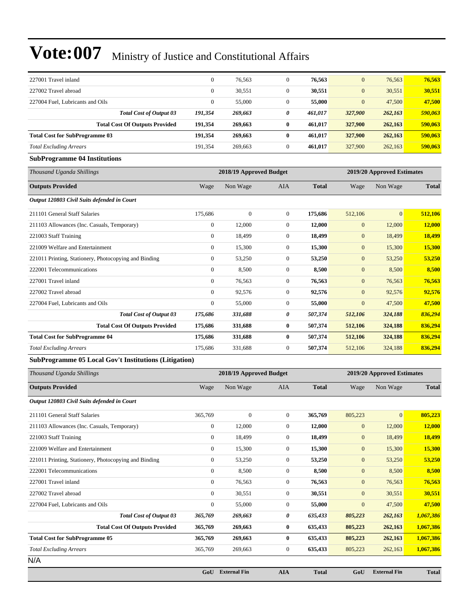| 227001 Travel inland                                  | $\overline{0}$   | 76,563                  | $\overline{0}$   | 76,563       | $\overline{0}$   | 76,563                     | 76,563       |
|-------------------------------------------------------|------------------|-------------------------|------------------|--------------|------------------|----------------------------|--------------|
| 227002 Travel abroad                                  | $\mathbf{0}$     | 30,551                  | $\overline{0}$   | 30,551       | $\overline{0}$   | 30,551                     | 30,551       |
| 227004 Fuel, Lubricants and Oils                      | $\mathbf{0}$     | 55,000                  | $\mathbf{0}$     | 55,000       | $\overline{0}$   | 47,500                     | 47,500       |
| <b>Total Cost of Output 03</b>                        | 191,354          | 269,663                 | 0                | 461,017      | 327,900          | 262,163                    | 590,063      |
| <b>Total Cost Of Outputs Provided</b>                 | 191,354          | 269,663                 | $\bf{0}$         | 461,017      | 327,900          | 262,163                    | 590,063      |
| <b>Total Cost for SubProgramme 03</b>                 | 191,354          | 269,663                 | $\bf{0}$         | 461,017      | 327,900          | 262,163                    | 590,063      |
| <b>Total Excluding Arrears</b>                        | 191,354          | 269,663                 | $\mathbf{0}$     | 461,017      | 327,900          | 262,163                    | 590,063      |
| <b>SubProgramme 04 Institutions</b>                   |                  |                         |                  |              |                  |                            |              |
| Thousand Uganda Shillings                             |                  | 2018/19 Approved Budget |                  |              |                  | 2019/20 Approved Estimates |              |
| <b>Outputs Provided</b>                               | Wage             | Non Wage                | <b>AIA</b>       | <b>Total</b> | Wage             | Non Wage                   | <b>Total</b> |
| Output 120803 Civil Suits defended in Court           |                  |                         |                  |              |                  |                            |              |
| 211101 General Staff Salaries                         | 175,686          | $\overline{0}$          | $\overline{0}$   | 175,686      | 512,106          | $\overline{0}$             | 512,106      |
| 211103 Allowances (Inc. Casuals, Temporary)           | $\overline{0}$   | 12,000                  | $\overline{0}$   | 12,000       | $\mathbf{0}$     | 12,000                     | 12,000       |
| 221003 Staff Training                                 | $\overline{0}$   | 18,499                  | $\boldsymbol{0}$ | 18,499       | $\mathbf{0}$     | 18,499                     | 18,499       |
| 221009 Welfare and Entertainment                      | $\overline{0}$   | 15,300                  | $\overline{0}$   | 15,300       | $\mathbf{0}$     | 15,300                     | 15,300       |
| 221011 Printing, Stationery, Photocopying and Binding | $\boldsymbol{0}$ | 53,250                  | $\boldsymbol{0}$ | 53,250       | $\mathbf{0}$     | 53,250                     | 53,250       |
| 222001 Telecommunications                             | $\overline{0}$   | 8,500                   | $\boldsymbol{0}$ | 8,500        | $\mathbf{0}$     | 8,500                      | 8,500        |
| 227001 Travel inland                                  | $\boldsymbol{0}$ | 76,563                  | $\mathbf{0}$     | 76,563       | $\mathbf{0}$     | 76,563                     | 76,563       |
| 227002 Travel abroad                                  | $\overline{0}$   | 92,576                  | $\mathbf{0}$     | 92,576       | $\mathbf{0}$     | 92,576                     | 92,576       |
| 227004 Fuel, Lubricants and Oils                      | $\overline{0}$   | 55,000                  | $\mathbf{0}$     | 55,000       | $\boldsymbol{0}$ | 47,500                     | 47,500       |
| <b>Total Cost of Output 03</b>                        | 175,686          | 331,688                 | 0                | 507,374      | 512,106          | 324,188                    | 836,294      |
| <b>Total Cost Of Outputs Provided</b>                 | 175,686          | 331,688                 | $\bf{0}$         | 507,374      | 512,106          | 324,188                    | 836,294      |
| <b>Total Cost for SubProgramme 04</b>                 | 175,686          | 331,688                 | $\bf{0}$         | 507,374      | 512,106          | 324,188                    | 836,294      |
| <b>Total Excluding Arrears</b>                        | 175,686          | 331,688                 | $\mathbf{0}$     | 507,374      | 512,106          | 324,188                    | 836,294      |

#### **SubProgramme 05 Local Gov't Institutions (Litigation)**

| Thousand Uganda Shillings                             |                  | 2018/19 Approved Budget |                |              |              | 2019/20 Approved Estimates |              |  |  |
|-------------------------------------------------------|------------------|-------------------------|----------------|--------------|--------------|----------------------------|--------------|--|--|
| <b>Outputs Provided</b>                               | Wage             | Non Wage                | <b>AIA</b>     | <b>Total</b> | Wage         | Non Wage                   | <b>Total</b> |  |  |
| Output 120803 Civil Suits defended in Court           |                  |                         |                |              |              |                            |              |  |  |
| 211101 General Staff Salaries                         | 365,769          | $\mathbf{0}$            | $\overline{0}$ | 365,769      | 805,223      | $\overline{0}$             | 805,223      |  |  |
| 211103 Allowances (Inc. Casuals, Temporary)           | $\mathbf{0}$     | 12,000                  | $\overline{0}$ | 12,000       | $\mathbf{0}$ | 12,000                     | 12,000       |  |  |
| 221003 Staff Training                                 | $\mathbf{0}$     | 18,499                  | $\overline{0}$ | 18,499       | $\mathbf{0}$ | 18,499                     | 18,499       |  |  |
| 221009 Welfare and Entertainment                      | $\mathbf{0}$     | 15,300                  | $\overline{0}$ | 15,300       | $\mathbf{0}$ | 15,300                     | 15,300       |  |  |
| 221011 Printing, Stationery, Photocopying and Binding | $\mathbf{0}$     | 53,250                  | $\overline{0}$ | 53,250       | $\mathbf{0}$ | 53,250                     | 53,250       |  |  |
| 222001 Telecommunications                             | $\mathbf{0}$     | 8,500                   | $\overline{0}$ | 8,500        | $\mathbf{0}$ | 8,500                      | 8,500        |  |  |
| 227001 Travel inland                                  | $\mathbf{0}$     | 76,563                  | $\overline{0}$ | 76,563       | $\mathbf{0}$ | 76,563                     | 76,563       |  |  |
| 227002 Travel abroad                                  | $\mathbf{0}$     | 30,551                  | $\overline{0}$ | 30,551       | $\mathbf{0}$ | 30,551                     | 30,551       |  |  |
| 227004 Fuel, Lubricants and Oils                      | $\boldsymbol{0}$ | 55,000                  | 0              | 55,000       | $\mathbf{0}$ | 47,500                     | 47,500       |  |  |
| <b>Total Cost of Output 03</b>                        | 365,769          | 269,663                 | 0              | 635,433      | 805,223      | 262,163                    | 1,067,386    |  |  |
| <b>Total Cost Of Outputs Provided</b>                 | 365,769          | 269,663                 | $\bf{0}$       | 635,433      | 805,223      | 262,163                    | 1,067,386    |  |  |
| <b>Total Cost for SubProgramme 05</b>                 | 365,769          | 269,663                 | $\bf{0}$       | 635,433      | 805,223      | 262,163                    | 1,067,386    |  |  |
| <b>Total Excluding Arrears</b>                        | 365,769          | 269,663                 | 0              | 635,433      | 805,223      | 262,163                    | 1,067,386    |  |  |
| N/A                                                   |                  |                         |                |              |              |                            |              |  |  |
|                                                       | GoU              | <b>External Fin</b>     | <b>AIA</b>     | <b>Total</b> | GoU          | <b>External Fin</b>        | <b>Total</b> |  |  |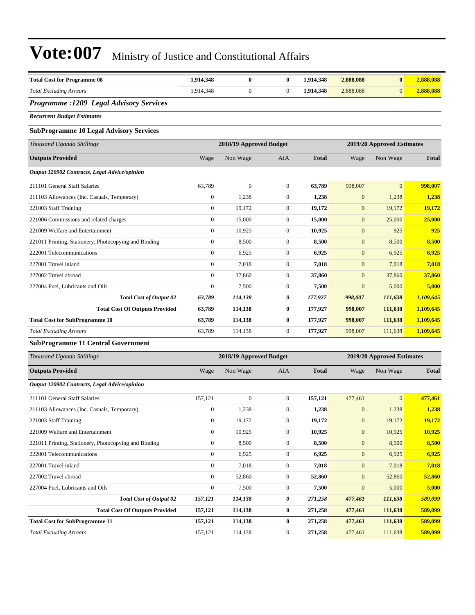| <b>Total Cost for Programme 08</b>                    | 1,914,348        | $\bf{0}$                | $\bf{0}$         | 1,914,348    | 2,888,088        | $\bf{0}$                   | 2,888,088     |
|-------------------------------------------------------|------------------|-------------------------|------------------|--------------|------------------|----------------------------|---------------|
| <b>Total Excluding Arrears</b>                        | 1,914,348        | $\boldsymbol{0}$        | $\boldsymbol{0}$ | 1,914,348    | 2,888,088        | $\mathbf{0}$               | 2,888,088     |
| <b>Programme :1209 Legal Advisory Services</b>        |                  |                         |                  |              |                  |                            |               |
| <b>Recurrent Budget Estimates</b>                     |                  |                         |                  |              |                  |                            |               |
| <b>SubProgramme 10 Legal Advisory Services</b>        |                  |                         |                  |              |                  |                            |               |
| Thousand Uganda Shillings                             |                  | 2018/19 Approved Budget |                  |              |                  | 2019/20 Approved Estimates |               |
| <b>Outputs Provided</b>                               | Wage             | Non Wage                | <b>AIA</b>       | <b>Total</b> | Wage             | Non Wage                   | <b>Total</b>  |
| Output 120902 Contracts, Legal Advice/opinion         |                  |                         |                  |              |                  |                            |               |
| 211101 General Staff Salaries                         | 63,789           | $\boldsymbol{0}$        | $\mathbf{0}$     | 63,789       | 998,007          | $\mathbf{0}$               | 998,007       |
| 211103 Allowances (Inc. Casuals, Temporary)           | $\boldsymbol{0}$ | 1,238                   | $\boldsymbol{0}$ | 1,238        | $\boldsymbol{0}$ | 1,238                      | 1,238         |
| 221003 Staff Training                                 | $\boldsymbol{0}$ | 19,172                  | $\boldsymbol{0}$ | 19,172       | $\mathbf{0}$     | 19,172                     | 19,172        |
| 221006 Commissions and related charges                | $\boldsymbol{0}$ | 15,000                  | 0                | 15,000       | $\mathbf{0}$     | 25,000                     | 25,000        |
| 221009 Welfare and Entertainment                      | $\boldsymbol{0}$ | 10,925                  | $\boldsymbol{0}$ | 10,925       | $\boldsymbol{0}$ | 925                        | 925           |
| 221011 Printing, Stationery, Photocopying and Binding | $\boldsymbol{0}$ | 8,500                   | $\mathbf{0}$     | 8,500        | $\mathbf{0}$     | 8,500                      | 8,500         |
| 222001 Telecommunications                             | $\boldsymbol{0}$ | 6,925                   | $\boldsymbol{0}$ | 6,925        | $\mathbf{0}$     | 6,925                      | 6,925         |
| 227001 Travel inland                                  | $\mathbf{0}$     | 7,018                   | $\boldsymbol{0}$ | 7,018        | $\mathbf{0}$     | 7,018                      | 7,018         |
| 227002 Travel abroad                                  | $\boldsymbol{0}$ | 37,860                  | 0                | 37,860       | $\mathbf{0}$     | 37,860                     | 37,860        |
| 227004 Fuel. Lubricants and Oils                      | $\mathbf{0}$     | 7,500                   | $\boldsymbol{0}$ | 7,500        | $\boldsymbol{0}$ | 5,000                      | 5,000         |
| <b>Total Cost of Output 02</b>                        | 63,789           | 114,138                 | 0                | 177,927      | 998,007          | 111,638                    | 1,109,645     |
| <b>Total Cost Of Outputs Provided</b>                 | 63,789           | 114,138                 | $\bf{0}$         | 177,927      | 998,007          | 111,638                    | 1,109,645     |
| <b>Total Cost for SubProgramme 10</b>                 | 63,789           | 114,138                 | $\bf{0}$         | 177,927      | 998,007          | 111,638                    | 1,109,645     |
| <b>Total Excluding Arrears</b>                        | 63,789           | 114,138                 | 0                | 177,927      | 998,007          | 111,638                    | 1,109,645     |
| <b>SubProgramme 11 Central Government</b>             |                  |                         |                  |              |                  |                            |               |
| Thousand Uganda Shillings                             |                  | 2018/19 Approved Budget |                  |              |                  | 2019/20 Approved Estimates |               |
| <b>Outputs Provided</b>                               | Wage             | Non Wage                | AIA              | <b>Total</b> | Wage             | Non Wage                   | <b>Total</b>  |
| Output 120902 Contracts, Legal Advice/opinion         |                  |                         |                  |              |                  |                            |               |
| 211101 General Staff Salaries                         | 157,121          | $\boldsymbol{0}$        | $\boldsymbol{0}$ | 157,121      | 477,461          | $\overline{0}$             | 477,461       |
| 211103 Allowances (Inc. Casuals, Temporary)           | $\boldsymbol{0}$ | 1,238                   | 0                | 1,238        | $\mathbf{0}$     | 1,238                      | 1,238         |
| 221003 Staff Training                                 | $\boldsymbol{0}$ | 19,172                  | 0                | 19,172       | $\mathbf{0}$     | 19,172                     | 19,172        |
| 221009 Welfare and Entertainment                      | 0                | 10,925                  | 0                | 10,925       | $\mathbf{0}$     | 10,925                     | <b>10,925</b> |
| 221011 Printing, Stationery, Photocopying and Binding | $\boldsymbol{0}$ | 8,500                   | $\mathbf{0}$     | 8,500        | $\mathbf{0}$     | 8,500                      | 8,500         |
| 222001 Telecommunications                             | $\boldsymbol{0}$ | 6,925                   | $\boldsymbol{0}$ | 6,925        | $\mathbf{0}$     | 6,925                      | 6,925         |
| 227001 Travel inland                                  | $\mathbf{0}$     | 7,018                   | $\boldsymbol{0}$ | 7,018        | $\mathbf{0}$     | 7,018                      | 7,018         |
| 227002 Travel abroad                                  | $\boldsymbol{0}$ | 52,860                  | 0                | 52,860       | $\mathbf{0}$     | 52,860                     | 52,860        |
| 227004 Fuel, Lubricants and Oils                      | $\mathbf{0}$     | 7,500                   | 0                | 7,500        | $\boldsymbol{0}$ | 5,000                      | 5,000         |
| <b>Total Cost of Output 02</b>                        | 157,121          | 114,138                 | 0                | 271,258      | 477,461          | 111,638                    | 589,099       |
| <b>Total Cost Of Outputs Provided</b>                 | 157,121          | 114,138                 | 0                | 271,258      | 477,461          | 111,638                    | 589,099       |
| <b>Total Cost for SubProgramme 11</b>                 | 157,121          | 114,138                 | 0                | 271,258      | 477,461          | 111,638                    | 589,099       |
| <b>Total Excluding Arrears</b>                        | 157,121          | 114,138                 | $\boldsymbol{0}$ | 271,258      | 477,461          | 111,638                    | 589,099       |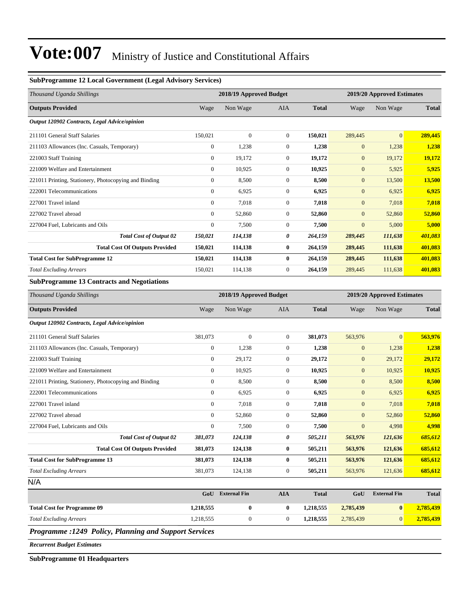#### **SubProgramme 12 Local Government (Legal Advisory Services)**

| Thousand Uganda Shillings                             |                  | 2018/19 Approved Budget |                  |              |                  | 2019/20 Approved Estimates |              |  |
|-------------------------------------------------------|------------------|-------------------------|------------------|--------------|------------------|----------------------------|--------------|--|
| <b>Outputs Provided</b>                               | Wage             | Non Wage                | <b>AIA</b>       | <b>Total</b> | Wage             | Non Wage                   | <b>Total</b> |  |
| Output 120902 Contracts, Legal Advice/opinion         |                  |                         |                  |              |                  |                            |              |  |
| 211101 General Staff Salaries                         | 150,021          | $\overline{0}$          | $\boldsymbol{0}$ | 150,021      | 289,445          | $\mathbf{0}$               | 289,445      |  |
| 211103 Allowances (Inc. Casuals, Temporary)           | $\boldsymbol{0}$ | 1,238                   | $\boldsymbol{0}$ | 1,238        | $\mathbf{0}$     | 1,238                      | 1,238        |  |
| 221003 Staff Training                                 | $\boldsymbol{0}$ | 19,172                  | $\boldsymbol{0}$ | 19,172       | $\boldsymbol{0}$ | 19,172                     | 19,172       |  |
| 221009 Welfare and Entertainment                      | $\boldsymbol{0}$ | 10,925                  | $\boldsymbol{0}$ | 10,925       | $\boldsymbol{0}$ | 5,925                      | 5,925        |  |
| 221011 Printing, Stationery, Photocopying and Binding | $\boldsymbol{0}$ | 8,500                   | $\boldsymbol{0}$ | 8,500        | $\boldsymbol{0}$ | 13,500                     | 13,500       |  |
| 222001 Telecommunications                             | $\boldsymbol{0}$ | 6,925                   | $\boldsymbol{0}$ | 6,925        | $\boldsymbol{0}$ | 6,925                      | 6,925        |  |
| 227001 Travel inland                                  | $\boldsymbol{0}$ | 7,018                   | $\boldsymbol{0}$ | 7,018        | $\mathbf{0}$     | 7,018                      | 7,018        |  |
| 227002 Travel abroad                                  | $\boldsymbol{0}$ | 52,860                  | $\boldsymbol{0}$ | 52,860       | $\mathbf{0}$     | 52,860                     | 52,860       |  |
| 227004 Fuel, Lubricants and Oils                      | $\mathbf{0}$     | 7,500                   | $\boldsymbol{0}$ | 7,500        | $\mathbf{0}$     | 5,000                      | 5,000        |  |
| <b>Total Cost of Output 02</b>                        | 150,021          | 114,138                 | 0                | 264,159      | 289,445          | 111,638                    | 401,083      |  |
| <b>Total Cost Of Outputs Provided</b>                 | 150,021          | 114,138                 | $\bf{0}$         | 264,159      | 289,445          | 111,638                    | 401,083      |  |
| <b>Total Cost for SubProgramme 12</b>                 | 150,021          | 114,138                 | $\bf{0}$         | 264,159      | 289,445          | 111,638                    | 401,083      |  |
| <b>Total Excluding Arrears</b>                        | 150,021          | 114,138                 | $\overline{0}$   | 264,159      | 289,445          | 111,638                    | 401,083      |  |
| <b>SubProgramme 13 Contracts and Negotiations</b>     |                  |                         |                  |              |                  |                            |              |  |
| Thousand Uganda Shillings                             |                  | 2018/19 Approved Budget |                  |              |                  | 2019/20 Approved Estimates |              |  |
| <b>Outputs Provided</b>                               | Wage             | Non Wage                | <b>AIA</b>       | <b>Total</b> | Wage             | Non Wage                   | <b>Total</b> |  |
| Output 120902 Contracts, Legal Advice/opinion         |                  |                         |                  |              |                  |                            |              |  |
| 211101 General Staff Salaries                         | 381,073          | $\overline{0}$          | $\overline{0}$   | 381,073      | 563,976          | $\mathbf{0}$               | 563,976      |  |
| 211103 Allowances (Inc. Casuals, Temporary)           | $\boldsymbol{0}$ | 1,238                   | $\overline{0}$   | 1,238        | $\mathbf{0}$     | 1,238                      | 1,238        |  |
| 221003 Staff Training                                 | $\boldsymbol{0}$ | 29,172                  | $\boldsymbol{0}$ | 29,172       | $\mathbf{0}$     | 29,172                     | 29,172       |  |
|                                                       |                  |                         |                  |              |                  |                            |              |  |
| 221009 Welfare and Entertainment                      | $\boldsymbol{0}$ | 10,925                  | $\boldsymbol{0}$ | 10,925       | $\boldsymbol{0}$ | 10,925                     | 10,925       |  |
| 221011 Printing, Stationery, Photocopying and Binding | $\boldsymbol{0}$ | 8,500                   | $\boldsymbol{0}$ | 8,500        | $\boldsymbol{0}$ | 8,500                      | 8,500        |  |
| 222001 Telecommunications                             | $\boldsymbol{0}$ | 6,925                   | $\boldsymbol{0}$ | 6,925        | $\boldsymbol{0}$ | 6,925                      | 6,925        |  |
| 227001 Travel inland                                  | $\boldsymbol{0}$ | 7,018                   | $\boldsymbol{0}$ | 7,018        | $\boldsymbol{0}$ | 7,018                      | 7,018        |  |
| 227002 Travel abroad                                  | $\boldsymbol{0}$ | 52,860                  | $\boldsymbol{0}$ | 52,860       | $\mathbf{0}$     | 52,860                     | 52,860       |  |
| 227004 Fuel, Lubricants and Oils                      | $\mathbf{0}$     | 7,500                   | $\mathbf{0}$     | 7,500        | $\mathbf{0}$     | 4,998                      | 4,998        |  |
| <b>Total Cost of Output 02</b>                        | 381,073          | 124,138                 | 0                | 505,211      | 563,976          | 121,636                    | 685,612      |  |
| <b>Total Cost Of Outputs Provided</b>                 | 381,073          | 124,138                 | $\bf{0}$         | 505,211      | 563,976          | 121,636                    | 685,612      |  |
| <b>Total Cost for SubProgramme 13</b>                 | 381,073          | 124,138                 | $\bf{0}$         | 505,211      | 563,976          | 121,636                    | 685,612      |  |

| GoU       | <b>External Fin</b> | AIA | <b>Total</b> | GoU       | <b>External Fin</b> | <b>Total</b> |
|-----------|---------------------|-----|--------------|-----------|---------------------|--------------|
| 1,218,555 |                     |     | 1.218.555    | 2,785,439 |                     | 2,785,439    |
| 1,218,555 |                     |     | 1.218.555    | 2,785,439 |                     | 2,785,439    |
|           |                     |     |              |           |                     |              |

*Programme :1249 Policy, Planning and Support Services*

*Recurrent Budget Estimates*

**SubProgramme 01 Headquarters**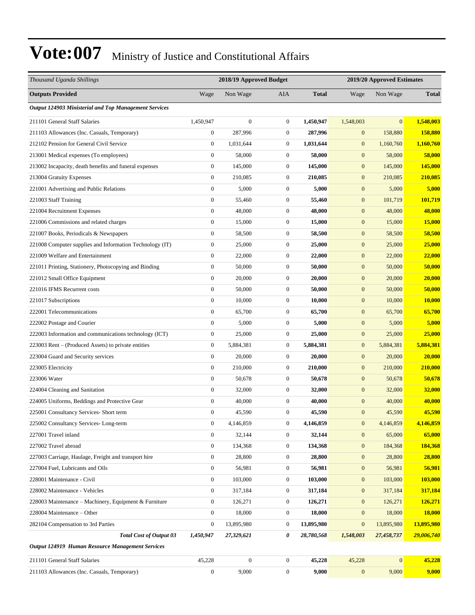| Thousand Uganda Shillings                                |                  | 2018/19 Approved Budget |                  |              |                  | 2019/20 Approved Estimates |               |  |
|----------------------------------------------------------|------------------|-------------------------|------------------|--------------|------------------|----------------------------|---------------|--|
| <b>Outputs Provided</b>                                  | Wage             | Non Wage                | AIA              | <b>Total</b> | Wage             | Non Wage                   | <b>Total</b>  |  |
| Output 124903 Ministerial and Top Management Services    |                  |                         |                  |              |                  |                            |               |  |
| 211101 General Staff Salaries                            | 1,450,947        | $\mathbf{0}$            | $\boldsymbol{0}$ | 1,450,947    | 1,548,003        | $\mathbf{0}$               | 1,548,003     |  |
| 211103 Allowances (Inc. Casuals, Temporary)              | $\boldsymbol{0}$ | 287,996                 | $\boldsymbol{0}$ | 287,996      | $\boldsymbol{0}$ | 158,880                    | 158,880       |  |
| 212102 Pension for General Civil Service                 | $\boldsymbol{0}$ | 1,031,644               | $\boldsymbol{0}$ | 1,031,644    | $\mathbf{0}$     | 1,160,760                  | 1,160,760     |  |
| 213001 Medical expenses (To employees)                   | $\boldsymbol{0}$ | 58,000                  | $\boldsymbol{0}$ | 58,000       | $\boldsymbol{0}$ | 58,000                     | 58,000        |  |
| 213002 Incapacity, death benefits and funeral expenses   | $\boldsymbol{0}$ | 145,000                 | $\boldsymbol{0}$ | 145,000      | $\boldsymbol{0}$ | 145,000                    | 145,000       |  |
| 213004 Gratuity Expenses                                 | $\boldsymbol{0}$ | 210,085                 | $\boldsymbol{0}$ | 210,085      | $\mathbf{0}$     | 210,085                    | 210,085       |  |
| 221001 Advertising and Public Relations                  | $\boldsymbol{0}$ | 5,000                   | $\boldsymbol{0}$ | 5,000        | $\boldsymbol{0}$ | 5,000                      | 5,000         |  |
| 221003 Staff Training                                    | $\boldsymbol{0}$ | 55,460                  | $\boldsymbol{0}$ | 55,460       | $\boldsymbol{0}$ | 101,719                    | 101,719       |  |
| 221004 Recruitment Expenses                              | $\boldsymbol{0}$ | 48,000                  | $\boldsymbol{0}$ | 48,000       | $\boldsymbol{0}$ | 48,000                     | 48,000        |  |
| 221006 Commissions and related charges                   | $\boldsymbol{0}$ | 15,000                  | $\boldsymbol{0}$ | 15,000       | $\boldsymbol{0}$ | 15,000                     | 15,000        |  |
| 221007 Books, Periodicals & Newspapers                   | $\boldsymbol{0}$ | 58,500                  | $\mathbf{0}$     | 58,500       | $\boldsymbol{0}$ | 58,500                     | 58,500        |  |
| 221008 Computer supplies and Information Technology (IT) | $\boldsymbol{0}$ | 25,000                  | $\boldsymbol{0}$ | 25,000       | $\boldsymbol{0}$ | 25,000                     | 25,000        |  |
| 221009 Welfare and Entertainment                         | $\boldsymbol{0}$ | 22,000                  | $\boldsymbol{0}$ | 22,000       | $\boldsymbol{0}$ | 22,000                     | 22,000        |  |
| 221011 Printing, Stationery, Photocopying and Binding    | $\boldsymbol{0}$ | 50,000                  | $\boldsymbol{0}$ | 50,000       | $\boldsymbol{0}$ | 50,000                     | 50,000        |  |
| 221012 Small Office Equipment                            | $\boldsymbol{0}$ | 20,000                  | $\boldsymbol{0}$ | 20,000       | $\boldsymbol{0}$ | 20,000                     | 20,000        |  |
| 221016 IFMS Recurrent costs                              | $\boldsymbol{0}$ | 50,000                  | $\mathbf{0}$     | 50,000       | $\mathbf{0}$     | 50,000                     | 50,000        |  |
| 221017 Subscriptions                                     | $\boldsymbol{0}$ | 10,000                  | $\boldsymbol{0}$ | 10,000       | $\boldsymbol{0}$ | 10,000                     | <b>10,000</b> |  |
| 222001 Telecommunications                                | $\boldsymbol{0}$ | 65,700                  | $\boldsymbol{0}$ | 65,700       | $\boldsymbol{0}$ | 65,700                     | 65,700        |  |
| 222002 Postage and Courier                               | $\boldsymbol{0}$ | 5,000                   | $\boldsymbol{0}$ | 5,000        | $\boldsymbol{0}$ | 5,000                      | 5,000         |  |
| 222003 Information and communications technology (ICT)   | $\boldsymbol{0}$ | 25,000                  | $\boldsymbol{0}$ | 25,000       | $\boldsymbol{0}$ | 25,000                     | 25,000        |  |
| 223003 Rent – (Produced Assets) to private entities      | $\boldsymbol{0}$ | 5,884,381               | $\boldsymbol{0}$ | 5,884,381    | $\boldsymbol{0}$ | 5,884,381                  | 5,884,381     |  |
| 223004 Guard and Security services                       | $\boldsymbol{0}$ | 20,000                  | $\boldsymbol{0}$ | 20,000       | $\boldsymbol{0}$ | 20,000                     | 20,000        |  |
| 223005 Electricity                                       | $\boldsymbol{0}$ | 210,000                 | $\boldsymbol{0}$ | 210,000      | $\boldsymbol{0}$ | 210,000                    | 210,000       |  |
| 223006 Water                                             | $\boldsymbol{0}$ | 50,678                  | $\boldsymbol{0}$ | 50,678       | $\boldsymbol{0}$ | 50,678                     | 50,678        |  |
| 224004 Cleaning and Sanitation                           | $\boldsymbol{0}$ | 32,000                  | $\boldsymbol{0}$ | 32,000       | $\boldsymbol{0}$ | 32,000                     | 32,000        |  |
| 224005 Uniforms, Beddings and Protective Gear            | $\boldsymbol{0}$ | 40,000                  | $\mathbf{0}$     | 40,000       | $\mathbf{0}$     | 40,000                     | 40,000        |  |
| 225001 Consultancy Services- Short term                  | $\boldsymbol{0}$ | 45,590                  | $\boldsymbol{0}$ | 45,590       | $\mathbf{0}$     | 45,590                     | 45,590        |  |
| 225002 Consultancy Services-Long-term                    | $\boldsymbol{0}$ | 4,146,859               | $\boldsymbol{0}$ | 4,146,859    | $\boldsymbol{0}$ | 4,146,859                  | 4,146,859     |  |
| 227001 Travel inland                                     | $\boldsymbol{0}$ | 32,144                  | $\boldsymbol{0}$ | 32,144       | $\boldsymbol{0}$ | 65,000                     | 65,000        |  |
| 227002 Travel abroad                                     | $\boldsymbol{0}$ | 134,368                 | $\boldsymbol{0}$ | 134,368      | $\mathbf{0}$     | 184,368                    | 184,368       |  |
| 227003 Carriage, Haulage, Freight and transport hire     | $\boldsymbol{0}$ | 28,800                  | $\boldsymbol{0}$ | 28,800       | $\mathbf{0}$     | 28,800                     | 28,800        |  |
| 227004 Fuel, Lubricants and Oils                         | $\boldsymbol{0}$ | 56,981                  | $\boldsymbol{0}$ | 56,981       | $\boldsymbol{0}$ | 56,981                     | 56,981        |  |
| 228001 Maintenance - Civil                               | $\boldsymbol{0}$ | 103,000                 | $\boldsymbol{0}$ | 103,000      | $\boldsymbol{0}$ | 103,000                    | 103,000       |  |
| 228002 Maintenance - Vehicles                            | $\boldsymbol{0}$ | 317,184                 | $\boldsymbol{0}$ | 317,184      | $\boldsymbol{0}$ | 317,184                    | 317,184       |  |
| 228003 Maintenance - Machinery, Equipment & Furniture    | $\boldsymbol{0}$ | 126,271                 | $\boldsymbol{0}$ | 126,271      | $\bf{0}$         | 126,271                    | 126,271       |  |
| 228004 Maintenance - Other                               | $\boldsymbol{0}$ | 18,000                  | $\boldsymbol{0}$ | 18,000       | $\mathbf{0}$     | 18,000                     | 18,000        |  |
| 282104 Compensation to 3rd Parties                       | $\boldsymbol{0}$ | 13,895,980              | $\boldsymbol{0}$ | 13,895,980   | $\mathbf{0}$     | 13,895,980                 | 13,895,980    |  |
| <b>Total Cost of Output 03</b>                           | 1,450,947        | 27,329,621              | 0                | 28,780,568   | 1,548,003        | 27,458,737                 | 29,006,740    |  |
| Output 124919 Human Resource Management Services         |                  |                         |                  |              |                  |                            |               |  |
| 211101 General Staff Salaries                            | 45,228           | $\boldsymbol{0}$        | $\boldsymbol{0}$ | 45,228       | 45,228           | $\mathbf{0}$               | 45,228        |  |
| 211103 Allowances (Inc. Casuals, Temporary)              | $\boldsymbol{0}$ | 9,000                   | $\boldsymbol{0}$ | 9,000        | $\bf{0}$         | 9,000                      | 9,000         |  |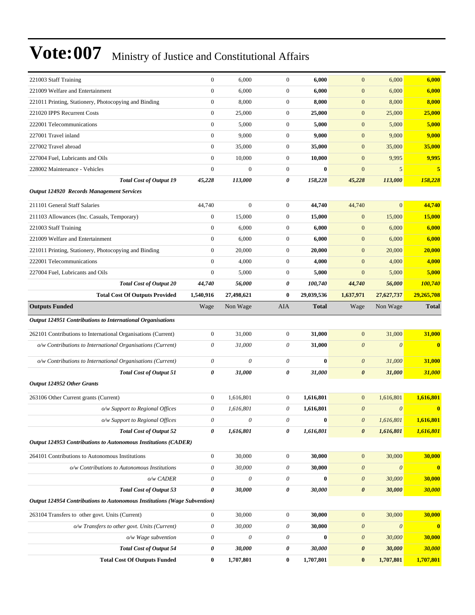| 221003 Staff Training                                                    | $\boldsymbol{0}$      | 6,000                     | $\mathbf{0}$          | 6,000        | $\mathbf{0}$          | 6,000                     | 6,000                   |
|--------------------------------------------------------------------------|-----------------------|---------------------------|-----------------------|--------------|-----------------------|---------------------------|-------------------------|
| 221009 Welfare and Entertainment                                         | $\boldsymbol{0}$      | 6,000                     | $\boldsymbol{0}$      | 6,000        | $\mathbf{0}$          | 6,000                     | 6,000                   |
| 221011 Printing, Stationery, Photocopying and Binding                    | $\boldsymbol{0}$      | 8,000                     | $\mathbf{0}$          | 8,000        | $\mathbf{0}$          | 8,000                     | 8,000                   |
| 221020 IPPS Recurrent Costs                                              | $\overline{0}$        | 25,000                    | $\mathbf{0}$          | 25,000       | $\boldsymbol{0}$      | 25,000                    | <b>25,000</b>           |
| 222001 Telecommunications                                                | $\boldsymbol{0}$      | 5,000                     | $\boldsymbol{0}$      | 5,000        | $\mathbf{0}$          | 5,000                     | 5,000                   |
| 227001 Travel inland                                                     | $\overline{0}$        | 9,000                     | $\mathbf{0}$          | 9,000        | $\mathbf{0}$          | 9,000                     | 9,000                   |
| 227002 Travel abroad                                                     | $\boldsymbol{0}$      | 35,000                    | $\mathbf{0}$          | 35,000       | $\mathbf{0}$          | 35,000                    | 35,000                  |
| 227004 Fuel, Lubricants and Oils                                         | $\overline{0}$        | 10,000                    | $\mathbf{0}$          | 10,000       | $\overline{0}$        | 9,995                     | 9,995                   |
| 228002 Maintenance - Vehicles                                            | $\mathbf{0}$          | $\mathbf{0}$              | $\mathbf{0}$          | $\bf{0}$     | $\mathbf{0}$          | 5                         | 5                       |
| <b>Total Cost of Output 19</b>                                           | 45,228                | 113,000                   | 0                     | 158,228      | 45,228                | 113,000                   | 158,228                 |
| <b>Output 124920 Records Management Services</b>                         |                       |                           |                       |              |                       |                           |                         |
| 211101 General Staff Salaries                                            | 44,740                | $\mathbf{0}$              | $\mathbf{0}$          | 44,740       | 44,740                | $\overline{0}$            | 44,740                  |
| 211103 Allowances (Inc. Casuals, Temporary)                              | $\boldsymbol{0}$      | 15,000                    | $\mathbf{0}$          | 15,000       | $\mathbf{0}$          | 15,000                    | 15,000                  |
| 221003 Staff Training                                                    | $\boldsymbol{0}$      | 6,000                     | $\mathbf{0}$          | 6,000        | $\mathbf{0}$          | 6,000                     | 6,000                   |
| 221009 Welfare and Entertainment                                         | $\boldsymbol{0}$      | 6,000                     | $\mathbf{0}$          | 6,000        | $\mathbf{0}$          | 6,000                     | 6,000                   |
| 221011 Printing, Stationery, Photocopying and Binding                    | $\boldsymbol{0}$      | 20,000                    | $\mathbf{0}$          | 20,000       | $\mathbf{0}$          | 20,000                    | 20,000                  |
| 222001 Telecommunications                                                | $\overline{0}$        | 4,000                     | $\mathbf{0}$          | 4,000        | $\overline{0}$        | 4,000                     | 4,000                   |
| 227004 Fuel, Lubricants and Oils                                         | $\overline{0}$        | 5,000                     | $\mathbf{0}$          | 5,000        | $\overline{0}$        | 5,000                     | 5,000                   |
| <b>Total Cost of Output 20</b>                                           | 44,740                | 56,000                    | 0                     | 100,740      | 44,740                | 56,000                    | 100,740                 |
| <b>Total Cost Of Outputs Provided</b>                                    | 1,540,916             | 27,498,621                | $\bf{0}$              | 29,039,536   | 1,637,971             | 27,627,737                | 29,265,708              |
| <b>Outputs Funded</b>                                                    | Wage                  | Non Wage                  | AIA                   | <b>Total</b> | Wage                  | Non Wage                  | <b>Total</b>            |
| Output 124951 Contributions to International Organisations               |                       |                           |                       |              |                       |                           |                         |
| 262101 Contributions to International Organisations (Current)            | $\boldsymbol{0}$      | 31,000                    | $\mathbf{0}$          | 31,000       | $\mathbf{0}$          | 31,000                    | 31,000                  |
| o/w Contributions to International Organisations (Current)               | 0                     | 31,000                    | 0                     | 31,000       | $\boldsymbol{\theta}$ | $\theta$                  | $\bf{0}$                |
|                                                                          |                       |                           |                       |              |                       |                           |                         |
| o/w Contributions to International Organisations (Current)               | 0                     | $\theta$                  | $\theta$              | $\bf{0}$     | $\boldsymbol{\theta}$ | 31,000                    | 31,000                  |
| <b>Total Cost of Output 51</b>                                           | 0                     | 31,000                    | 0                     | 31,000       | $\boldsymbol{\theta}$ | 31,000                    | 31,000                  |
| <b>Output 124952 Other Grants</b>                                        |                       |                           |                       |              |                       |                           |                         |
| 263106 Other Current grants (Current)                                    | $\boldsymbol{0}$      | 1,616,801                 | $\mathbf{0}$          | 1,616,801    | $\mathbf{0}$          | 1,616,801                 | 1,616,801               |
| o/w Support to Regional Offices                                          | 0                     | 1,616,801                 | 0                     | 1,616,801    | $\boldsymbol{\theta}$ | $\boldsymbol{\theta}$     | $\bf{0}$                |
| o/w Support to Regional Offices                                          | 0                     | 0                         | $\theta$              | $\bf{0}$     | $\boldsymbol{\theta}$ | 1,616,801                 | 1,616,801               |
| <b>Total Cost of Output 52</b>                                           | 0                     | 1,616,801                 | 0                     | 1,616,801    | $\boldsymbol{\theta}$ | 1,616,801                 | 1,616,801               |
| Output 124953 Contributions to Autonomous Institutions (CADER)           |                       |                           |                       |              |                       |                           |                         |
| 264101 Contributions to Autonomous Institutions                          | $\boldsymbol{0}$      | 30,000                    | $\boldsymbol{0}$      | 30,000       | $\mathbf{0}$          | 30,000                    | 30,000                  |
| o/w Contributions to Autonomous Institutions                             | 0                     | 30,000                    | $\boldsymbol{\theta}$ | 30,000       | $\theta$              | $\boldsymbol{\theta}$     | $\mathbf{0}$            |
| o/w CADER                                                                | 0                     | $\boldsymbol{\mathit{0}}$ | $\theta$              | $\bf{0}$     | $\boldsymbol{\theta}$ | 30,000                    | 30,000                  |
| <b>Total Cost of Output 53</b>                                           | $\pmb{\theta}$        | 30,000                    | $\pmb{\theta}$        | 30,000       | $\pmb{\theta}$        | 30,000                    | 30,000                  |
| Output 124954 Contributions to Autonomous Institutions (Wage Subvention) |                       |                           |                       |              |                       |                           |                         |
| 263104 Transfers to other govt. Units (Current)                          | $\boldsymbol{0}$      | 30,000                    | $\boldsymbol{0}$      | 30,000       | $\mathbf{0}$          | 30,000                    | 30,000                  |
| o/w Transfers to other govt. Units (Current)                             | $\boldsymbol{\theta}$ | 30,000                    | $\theta$              | 30,000       | $\boldsymbol{\theta}$ | $\boldsymbol{\mathit{0}}$ | $\overline{\mathbf{0}}$ |
| o/w Wage subvention                                                      | 0                     | $\theta$                  | $\theta$              | $\bf{0}$     | $\theta$              | 30,000                    | 30,000                  |
| <b>Total Cost of Output 54</b>                                           | 0                     | 30,000                    | 0                     | 30,000       | $\boldsymbol{\theta}$ | 30,000                    | 30,000                  |
| <b>Total Cost Of Outputs Funded</b>                                      | $\bf{0}$              | 1,707,801                 | $\bf{0}$              | 1,707,801    | $\bf{0}$              | 1,707,801                 | 1,707,801               |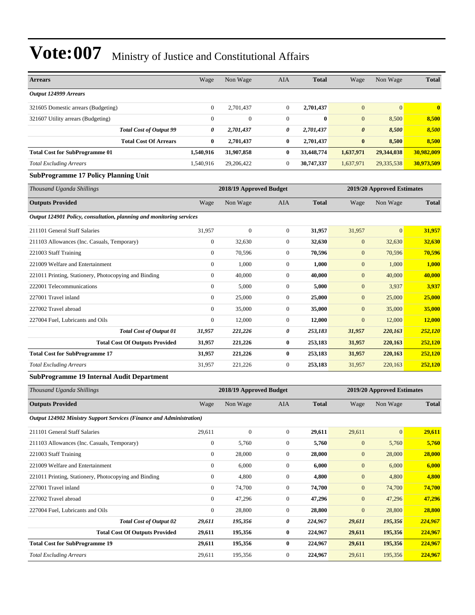| <b>Arrears</b>                                                       | Wage             | Non Wage                | AIA              | <b>Total</b> | Wage                  | Non Wage                   | <b>Total</b> |
|----------------------------------------------------------------------|------------------|-------------------------|------------------|--------------|-----------------------|----------------------------|--------------|
| Output 124999 Arrears                                                |                  |                         |                  |              |                       |                            |              |
| 321605 Domestic arrears (Budgeting)                                  | $\boldsymbol{0}$ | 2,701,437               | $\mathbf{0}$     | 2,701,437    | $\mathbf{0}$          | $\overline{0}$             | $\bf{0}$     |
| 321607 Utility arrears (Budgeting)                                   | $\boldsymbol{0}$ | $\boldsymbol{0}$        | $\boldsymbol{0}$ | $\bf{0}$     | $\mathbf{0}$          | 8,500                      | 8,500        |
| <b>Total Cost of Output 99</b>                                       | 0                | 2,701,437               | 0                | 2,701,437    | $\boldsymbol{\theta}$ | 8,500                      | 8,500        |
| <b>Total Cost Of Arrears</b>                                         | $\bf{0}$         | 2,701,437               | $\bf{0}$         | 2,701,437    | $\bf{0}$              | 8,500                      | 8,500        |
| <b>Total Cost for SubProgramme 01</b>                                | 1,540,916        | 31,907,858              | $\bf{0}$         | 33,448,774   | 1,637,971             | 29,344,038                 | 30,982,009   |
| <b>Total Excluding Arrears</b>                                       | 1,540,916        | 29,206,422              | $\boldsymbol{0}$ | 30,747,337   | 1,637,971             | 29,335,538                 | 30,973,509   |
| <b>SubProgramme 17 Policy Planning Unit</b>                          |                  |                         |                  |              |                       |                            |              |
| Thousand Uganda Shillings                                            |                  | 2018/19 Approved Budget |                  |              |                       | 2019/20 Approved Estimates |              |
| <b>Outputs Provided</b>                                              | Wage             | Non Wage                | AIA              | <b>Total</b> | Wage                  | Non Wage                   | <b>Total</b> |
| Output 124901 Policy, consultation, planning and monitoring services |                  |                         |                  |              |                       |                            |              |
| 211101 General Staff Salaries                                        | 31,957           | $\boldsymbol{0}$        | $\boldsymbol{0}$ | 31,957       | 31,957                | $\boldsymbol{0}$           | 31,957       |
| 211103 Allowances (Inc. Casuals, Temporary)                          | $\boldsymbol{0}$ | 32,630                  | $\boldsymbol{0}$ | 32,630       | $\mathbf{0}$          | 32,630                     | 32,630       |
| 221003 Staff Training                                                | $\boldsymbol{0}$ | 70,596                  | $\boldsymbol{0}$ | 70,596       | $\mathbf{0}$          | 70,596                     | 70,596       |
| 221009 Welfare and Entertainment                                     | $\boldsymbol{0}$ | 1,000                   | $\boldsymbol{0}$ | 1,000        | $\boldsymbol{0}$      | 1,000                      | 1,000        |
| 221011 Printing, Stationery, Photocopying and Binding                | $\boldsymbol{0}$ | 40,000                  | $\mathbf{0}$     | 40,000       | $\mathbf{0}$          | 40,000                     | 40,000       |
| 222001 Telecommunications                                            | $\mathbf{0}$     | 5,000                   | $\mathbf{0}$     | 5,000        | $\boldsymbol{0}$      | 3,937                      | 3,937        |
| 227001 Travel inland                                                 | $\boldsymbol{0}$ | 25,000                  | $\boldsymbol{0}$ | 25,000       | $\boldsymbol{0}$      | 25,000                     | 25,000       |
| 227002 Travel abroad                                                 | $\mathbf{0}$     | 35,000                  | $\boldsymbol{0}$ | 35,000       | $\mathbf{0}$          | 35,000                     | 35,000       |
| 227004 Fuel, Lubricants and Oils                                     | $\boldsymbol{0}$ | 12,000                  | $\boldsymbol{0}$ | 12,000       | $\mathbf{0}$          | 12,000                     | 12,000       |
| <b>Total Cost of Output 01</b>                                       | 31,957           | 221,226                 | 0                | 253,183      | 31,957                | 220,163                    | 252,120      |
| <b>Total Cost Of Outputs Provided</b>                                | 31,957           | 221,226                 | $\bf{0}$         | 253,183      | 31,957                | 220,163                    | 252,120      |
| <b>Total Cost for SubProgramme 17</b>                                | 31,957           | 221,226                 | $\bf{0}$         | 253,183      | 31,957                | 220,163                    | 252,120      |
| <b>Total Excluding Arrears</b>                                       | 31,957           | 221,226                 | $\boldsymbol{0}$ | 253,183      | 31,957                | 220,163                    | 252,120      |
| <b>SubProgramme 19 Internal Audit Department</b>                     |                  |                         |                  |              |                       |                            |              |
| Thousand Uganda Shillings                                            |                  | 2018/19 Approved Budget |                  |              |                       | 2019/20 Approved Estimates |              |
| <b>Outputs Provided</b>                                              | Wage             | Non Wage                | <b>AIA</b>       | <b>Total</b> | Wage                  | Non Wage                   | <b>Total</b> |
| Output 124902 Ministry Support Services (Finance and Administration) |                  |                         |                  |              |                       |                            |              |
| 211101 General Staff Salaries                                        | 29,611           | $\boldsymbol{0}$        | $\mathbf{0}$     | 29,611       | 29,611                | $\mathbf{0}$               | 29,611       |
| 211103 Allowances (Inc. Casuals, Temporary)                          | $\boldsymbol{0}$ | 5,760                   | $\boldsymbol{0}$ | 5,760        | $\boldsymbol{0}$      | 5,760                      | 5,760        |
| 221003 Staff Training                                                | $\boldsymbol{0}$ | 28,000                  | $\boldsymbol{0}$ | 28,000       | $\boldsymbol{0}$      | 28,000                     | 28,000       |
| 221009 Welfare and Entertainment                                     | $\boldsymbol{0}$ | 6,000                   | $\boldsymbol{0}$ | 6,000        | $\mathbf{0}$          | 6,000                      | 6,000        |
| 221011 Printing, Stationery, Photocopying and Binding                | $\boldsymbol{0}$ | 4,800                   | $\boldsymbol{0}$ | 4,800        | $\boldsymbol{0}$      | 4,800                      | 4,800        |
| 227001 Travel inland                                                 | $\boldsymbol{0}$ | 74,700                  | $\boldsymbol{0}$ | 74,700       | $\boldsymbol{0}$      | 74,700                     | 74,700       |
| 227002 Travel abroad                                                 | $\boldsymbol{0}$ | 47,296                  | $\boldsymbol{0}$ | 47,296       | $\boldsymbol{0}$      | 47,296                     | 47,296       |
| 227004 Fuel, Lubricants and Oils                                     | $\boldsymbol{0}$ | 28,800                  | $\boldsymbol{0}$ | 28,800       | $\boldsymbol{0}$      | 28,800                     | 28,800       |
| <b>Total Cost of Output 02</b>                                       | 29,611           | 195,356                 | 0                | 224,967      | 29,611                | 195,356                    | 224,967      |
| <b>Total Cost Of Outputs Provided</b>                                | 29,611           | 195,356                 | $\bf{0}$         | 224,967      | 29,611                | 195,356                    | 224,967      |
| <b>Total Cost for SubProgramme 19</b>                                | 29,611           | 195,356                 | $\bf{0}$         | 224,967      | 29,611                | 195,356                    | 224,967      |
| <b>Total Excluding Arrears</b>                                       | 29,611           | 195,356                 | $\boldsymbol{0}$ | 224,967      | 29,611                | 195,356                    | 224,967      |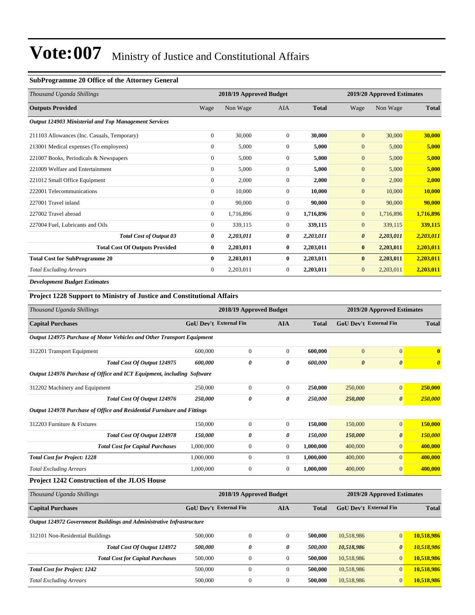### **SubProgramme 20 Office of the Attorney General**

| Thousand Uganda Shillings                             |                | 2018/19 Approved Budget |              |              |                       | 2019/20 Approved Estimates |              |  |
|-------------------------------------------------------|----------------|-------------------------|--------------|--------------|-----------------------|----------------------------|--------------|--|
| <b>Outputs Provided</b>                               | Wage           | Non Wage                | <b>AIA</b>   | <b>Total</b> | Wage                  | Non Wage                   | <b>Total</b> |  |
| Output 124903 Ministerial and Top Management Services |                |                         |              |              |                       |                            |              |  |
| 211103 Allowances (Inc. Casuals, Temporary)           | $\mathbf{0}$   | 30,000                  | $\mathbf{0}$ | 30,000       | $\mathbf{0}$          | 30,000                     | 30,000       |  |
| 213001 Medical expenses (To employees)                | $\overline{0}$ | 5,000                   | $\mathbf{0}$ | 5,000        | $\mathbf{0}$          | 5,000                      | 5,000        |  |
| 221007 Books, Periodicals & Newspapers                | $\overline{0}$ | 5,000                   | $\Omega$     | 5,000        | $\mathbf{0}$          | 5,000                      | 5,000        |  |
| 221009 Welfare and Entertainment                      | $\overline{0}$ | 5,000                   | $\mathbf{0}$ | 5,000        | $\mathbf{0}$          | 5,000                      | 5,000        |  |
| 221012 Small Office Equipment                         | $\overline{0}$ | 2,000                   | $\mathbf{0}$ | 2,000        | $\mathbf{0}$          | 2,000                      | 2,000        |  |
| 222001 Telecommunications                             | $\Omega$       | 10,000                  | $\mathbf{0}$ | 10,000       | $\mathbf{0}$          | 10,000                     | 10,000       |  |
| 227001 Travel inland                                  | $\overline{0}$ | 90,000                  | $\mathbf{0}$ | 90,000       | $\mathbf{0}$          | 90,000                     | 90,000       |  |
| 227002 Travel abroad                                  | $\mathbf{0}$   | 1,716,896               | $\mathbf{0}$ | 1,716,896    | $\mathbf{0}$          | 1,716,896                  | 1,716,896    |  |
| 227004 Fuel, Lubricants and Oils                      | $\Omega$       | 339,115                 | $\mathbf{0}$ | 339,115      | $\mathbf{0}$          | 339,115                    | 339,115      |  |
| <b>Total Cost of Output 03</b>                        | 0              | 2,203,011               | 0            | 2,203,011    | $\boldsymbol{\theta}$ | 2,203,011                  | 2,203,011    |  |
| <b>Total Cost Of Outputs Provided</b>                 | $\bf{0}$       | 2,203,011               | $\bf{0}$     | 2,203,011    | $\bf{0}$              | 2,203,011                  | 2,203,011    |  |
| <b>Total Cost for SubProgramme 20</b>                 | $\mathbf{0}$   | 2,203,011               | $\bf{0}$     | 2,203,011    | $\bf{0}$              | 2,203,011                  | 2,203,011    |  |
| <b>Total Excluding Arrears</b>                        | $\overline{0}$ | 2,203,011               | $\mathbf{0}$ | 2,203,011    | $\mathbf{0}$          | 2,203,011                  | 2,203,011    |  |
| <b>Development Budget Estimates</b>                   |                |                         |              |              |                       |                            |              |  |

### **Project 1228 Support to Ministry of Justice and Constitutional Affairs**

| Thousand Uganda Shillings                                               |                               | 2018/19 Approved Budget |                |              | 2019/20 Approved Estimates    |                       |                         |  |
|-------------------------------------------------------------------------|-------------------------------|-------------------------|----------------|--------------|-------------------------------|-----------------------|-------------------------|--|
| <b>Capital Purchases</b>                                                | <b>GoU Dev't External Fin</b> |                         | <b>AIA</b>     | <b>Total</b> | <b>GoU Dev't External Fin</b> |                       | <b>Total</b>            |  |
| Output 124975 Purchase of Motor Vehicles and Other Transport Equipment  |                               |                         |                |              |                               |                       |                         |  |
| 312201 Transport Equipment                                              | 600,000                       | $\Omega$                | $\Omega$       | 600,000      | $\overline{0}$                | $\overline{0}$        | $\overline{\mathbf{0}}$ |  |
| Total Cost Of Output 124975                                             | 600,000                       | 0                       | 0              | 600,000      | $\boldsymbol{\theta}$         | $\boldsymbol{\theta}$ | $\boldsymbol{\theta}$   |  |
| Output 124976 Purchase of Office and ICT Equipment, including Software  |                               |                         |                |              |                               |                       |                         |  |
| 312202 Machinery and Equipment                                          | 250,000                       | $\mathbf{0}$            | $\mathbf{0}$   | 250,000      | 250,000                       | $\mathbf{0}$          | 250,000                 |  |
| Total Cost Of Output 124976                                             | 250,000                       | 0                       | 0              | 250,000      | 250,000                       | $\boldsymbol{\theta}$ | 250,000                 |  |
| Output 124978 Purchase of Office and Residential Furniture and Fittings |                               |                         |                |              |                               |                       |                         |  |
| 312203 Furniture & Fixtures                                             | 150,000                       | $\mathbf{0}$            | $\overline{0}$ | 150,000      | 150,000                       | $\mathbf{0}$          | 150,000                 |  |
| Total Cost Of Output 124978                                             | 150,000                       | 0                       | 0              | 150,000      | 150,000                       | $\boldsymbol{\theta}$ | 150,000                 |  |
| <b>Total Cost for Capital Purchases</b>                                 | 1,000,000                     | $\mathbf{0}$            | $\mathbf{0}$   | 1,000,000    | 400,000                       | $\overline{0}$        | 400,000                 |  |
| <b>Total Cost for Project: 1228</b>                                     | 1,000,000                     | $\mathbf{0}$            | $\Omega$       | 1,000,000    | 400,000                       | $\overline{0}$        | 400,000                 |  |
| <b>Total Excluding Arrears</b>                                          | 1,000,000                     | $\boldsymbol{0}$        | $\mathbf{0}$   | 1,000,000    | 400,000                       | $\overline{0}$        | 400,000                 |  |

### **Project 1242 Construction of the JLOS House**

| Thousand Uganda Shillings                                            | 2018/19 Approved Budget       |              |            |              | 2019/20 Approved Estimates    |                       |              |
|----------------------------------------------------------------------|-------------------------------|--------------|------------|--------------|-------------------------------|-----------------------|--------------|
| <b>Capital Purchases</b>                                             | <b>GoU Dev't External Fin</b> |              | <b>AIA</b> | <b>Total</b> | <b>GoU</b> Dev't External Fin |                       | <b>Total</b> |
| Output 124972 Government Buildings and Administrative Infrastructure |                               |              |            |              |                               |                       |              |
| 312101 Non-Residential Buildings                                     | 500,000                       | $\Omega$     | $\theta$   | 500,000      | 10.518.986                    | $\overline{0}$        | 10,518,986   |
| Total Cost Of Output 124972                                          | 500,000                       | 0            | 0          | 500,000      | 10,518,986                    | $\boldsymbol{\theta}$ | 10,518,986   |
| <b>Total Cost for Capital Purchases</b>                              | 500,000                       | $\Omega$     | $\theta$   | 500,000      | 10.518.986                    | $\mathbf{0}$          | 10,518,986   |
| <b>Total Cost for Project: 1242</b>                                  | 500,000                       | $\Omega$     | $\Omega$   | 500,000      | 10.518.986                    | $\overline{0}$        | 10,518,986   |
| <b>Total Excluding Arrears</b>                                       | 500,000                       | $\mathbf{0}$ | $\theta$   | 500,000      | 10.518.986                    | $\overline{0}$        | 10,518,986   |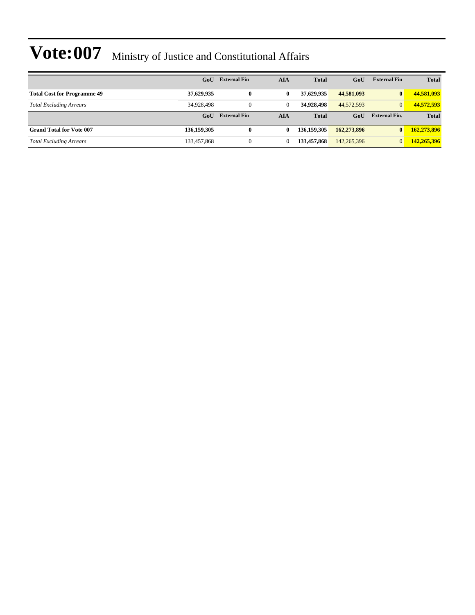|                                    | GoU         | <b>External Fin</b> | AIA            | <b>Total</b> | GoU         | <b>External Fin</b>  | <b>Total</b> |
|------------------------------------|-------------|---------------------|----------------|--------------|-------------|----------------------|--------------|
| <b>Total Cost for Programme 49</b> | 37,629,935  | $\bf{0}$            | $\bf{0}$       | 37,629,935   | 44,581,093  | $\bf{0}$             | 44,581,093   |
| <b>Total Excluding Arrears</b>     | 34.928.498  | $\mathbf{0}$        | $\overline{0}$ | 34,928,498   | 44,572,593  | $\overline{0}$       | 44,572,593   |
|                                    | GoU         | <b>External Fin</b> | AIA            | <b>Total</b> | GoU         | <b>External Fin.</b> | <b>Total</b> |
| <b>Grand Total for Vote 007</b>    | 136,159,305 | $\bf{0}$            | 0              | 136,159,305  | 162,273,896 | $\bf{0}$             | 162,273,896  |
| <b>Total Excluding Arrears</b>     | 133,457,868 | $\Omega$            |                | 133,457,868  | 142,265,396 | $\overline{0}$       | 142,265,396  |